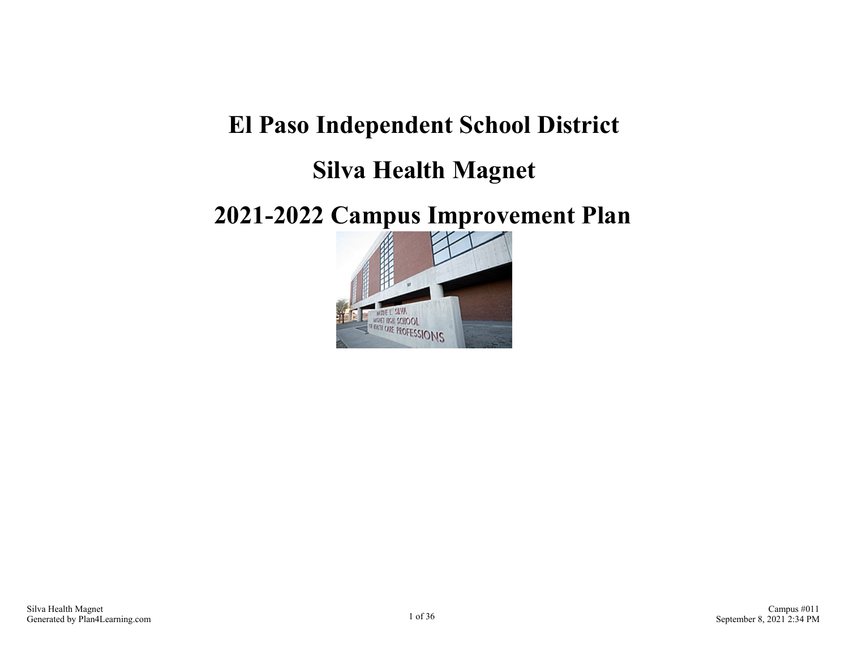## **El Paso Independent School District**

## **Silva Health Magnet**

## **2021-2022 Campus Improvement Plan**

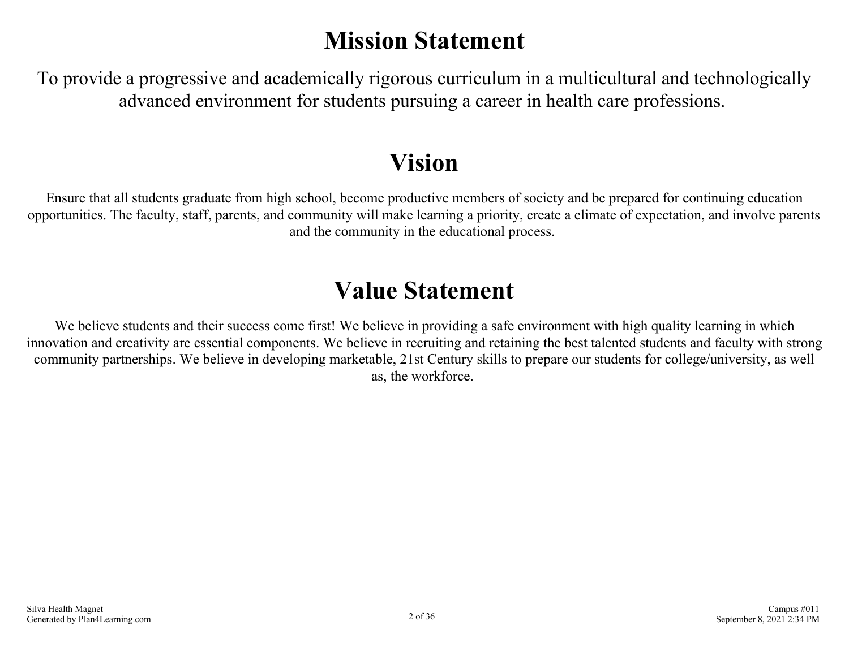# **Mission Statement**

To provide a progressive and academically rigorous curriculum in a multicultural and technologically advanced environment for students pursuing a career in health care professions.

# **Vision**

Ensure that all students graduate from high school, become productive members of society and be prepared for continuing education opportunities. The faculty, staff, parents, and community will make learning a priority, create a climate of expectation, and involve parents and the community in the educational process.

## **Value Statement**

We believe students and their success come first! We believe in providing a safe environment with high quality learning in which innovation and creativity are essential components. We believe in recruiting and retaining the best talented students and faculty with strong community partnerships. We believe in developing marketable, 21st Century skills to prepare our students for college/university, as well as, the workforce.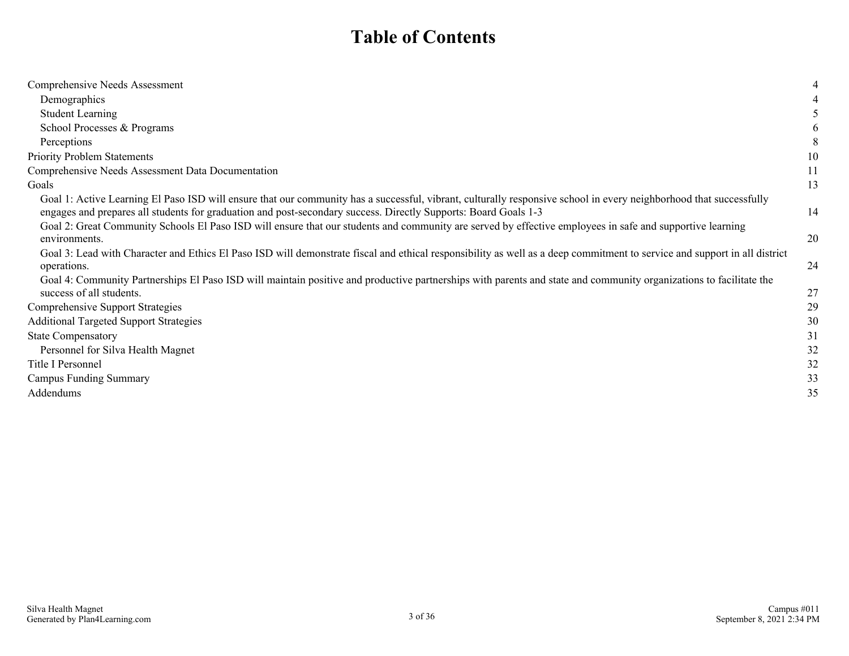### **Table of Contents**

| Comprehensive Needs Assessment                                                                                                                                                                                                                                                        | 4  |
|---------------------------------------------------------------------------------------------------------------------------------------------------------------------------------------------------------------------------------------------------------------------------------------|----|
| Demographics                                                                                                                                                                                                                                                                          | 4  |
| <b>Student Learning</b>                                                                                                                                                                                                                                                               |    |
| School Processes & Programs                                                                                                                                                                                                                                                           | 6  |
| Perceptions                                                                                                                                                                                                                                                                           | 8  |
| <b>Priority Problem Statements</b>                                                                                                                                                                                                                                                    | 10 |
| Comprehensive Needs Assessment Data Documentation                                                                                                                                                                                                                                     | 11 |
| Goals                                                                                                                                                                                                                                                                                 | 13 |
| Goal 1: Active Learning El Paso ISD will ensure that our community has a successful, vibrant, culturally responsive school in every neighborhood that successfully<br>engages and prepares all students for graduation and post-secondary success. Directly Supports: Board Goals 1-3 | 14 |
| Goal 2: Great Community Schools El Paso ISD will ensure that our students and community are served by effective employees in safe and supportive learning<br>environments.                                                                                                            | 20 |
| Goal 3: Lead with Character and Ethics El Paso ISD will demonstrate fiscal and ethical responsibility as well as a deep commitment to service and support in all district<br>operations.                                                                                              | 24 |
| Goal 4: Community Partnerships El Paso ISD will maintain positive and productive partnerships with parents and state and community organizations to facilitate the<br>success of all students.                                                                                        | 27 |
| Comprehensive Support Strategies                                                                                                                                                                                                                                                      | 29 |
| <b>Additional Targeted Support Strategies</b>                                                                                                                                                                                                                                         | 30 |
| <b>State Compensatory</b>                                                                                                                                                                                                                                                             | 31 |
| Personnel for Silva Health Magnet                                                                                                                                                                                                                                                     | 32 |
| Title I Personnel                                                                                                                                                                                                                                                                     | 32 |
| <b>Campus Funding Summary</b>                                                                                                                                                                                                                                                         | 33 |
| Addendums                                                                                                                                                                                                                                                                             | 35 |
|                                                                                                                                                                                                                                                                                       |    |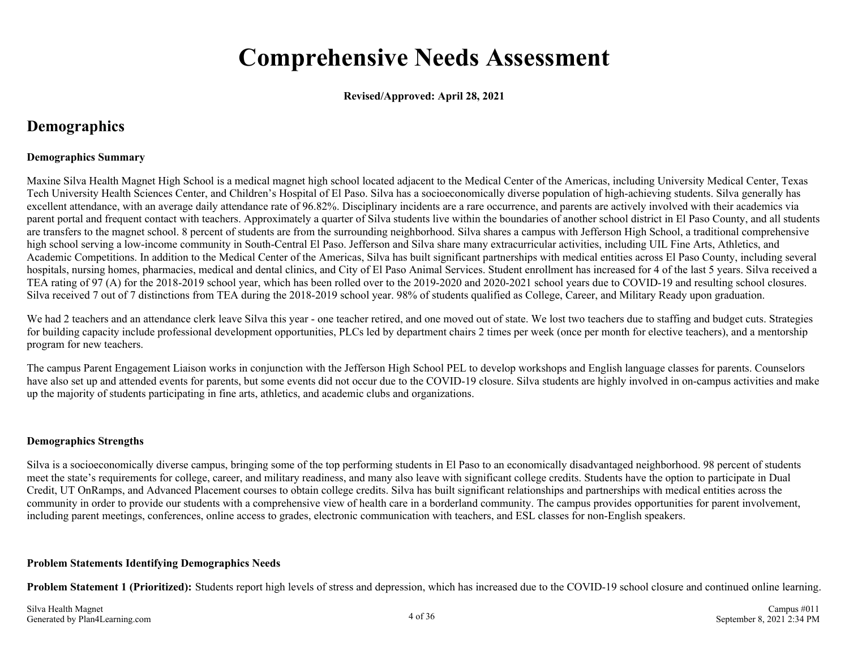## **Comprehensive Needs Assessment**

**Revised/Approved: April 28, 2021**

### **Demographics**

#### **Demographics Summary**

Maxine Silva Health Magnet High School is a medical magnet high school located adjacent to the Medical Center of the Americas, including University Medical Center, Texas Tech University Health Sciences Center, and Children's Hospital of El Paso. Silva has a socioeconomically diverse population of high-achieving students. Silva generally has excellent attendance, with an average daily attendance rate of 96.82%. Disciplinary incidents are a rare occurrence, and parents are actively involved with their academics via parent portal and frequent contact with teachers. Approximately a quarter of Silva students live within the boundaries of another school district in El Paso County, and all students are transfers to the magnet school. 8 percent of students are from the surrounding neighborhood. Silva shares a campus with Jefferson High School, a traditional comprehensive high school serving a low-income community in South-Central El Paso. Jefferson and Silva share many extracurricular activities, including UIL Fine Arts, Athletics, and Academic Competitions. In addition to the Medical Center of the Americas, Silva has built significant partnerships with medical entities across El Paso County, including several hospitals, nursing homes, pharmacies, medical and dental clinics, and City of El Paso Animal Services. Student enrollment has increased for 4 of the last 5 years. Silva received a TEA rating of 97 (A) for the 2018-2019 school year, which has been rolled over to the 2019-2020 and 2020-2021 school years due to COVID-19 and resulting school closures. Silva received 7 out of 7 distinctions from TEA during the 2018-2019 school year. 98% of students qualified as College, Career, and Military Ready upon graduation.

We had 2 teachers and an attendance clerk leave Silva this year - one teacher retired, and one moved out of state. We lost two teachers due to staffing and budget cuts. Strategies for building capacity include professional development opportunities, PLCs led by department chairs 2 times per week (once per month for elective teachers), and a mentorship program for new teachers.

The campus Parent Engagement Liaison works in conjunction with the Jefferson High School PEL to develop workshops and English language classes for parents. Counselors have also set up and attended events for parents, but some events did not occur due to the COVID-19 closure. Silva students are highly involved in on-campus activities and make up the majority of students participating in fine arts, athletics, and academic clubs and organizations.

#### **Demographics Strengths**

Silva is a socioeconomically diverse campus, bringing some of the top performing students in El Paso to an economically disadvantaged neighborhood. 98 percent of students meet the state's requirements for college, career, and military readiness, and many also leave with significant college credits. Students have the option to participate in Dual Credit, UT OnRamps, and Advanced Placement courses to obtain college credits. Silva has built significant relationships and partnerships with medical entities across the community in order to provide our students with a comprehensive view of health care in a borderland community. The campus provides opportunities for parent involvement, including parent meetings, conferences, online access to grades, electronic communication with teachers, and ESL classes for non-English speakers.

#### **Problem Statements Identifying Demographics Needs**

**Problem Statement 1 (Prioritized):** Students report high levels of stress and depression, which has increased due to the COVID-19 school closure and continued online learning.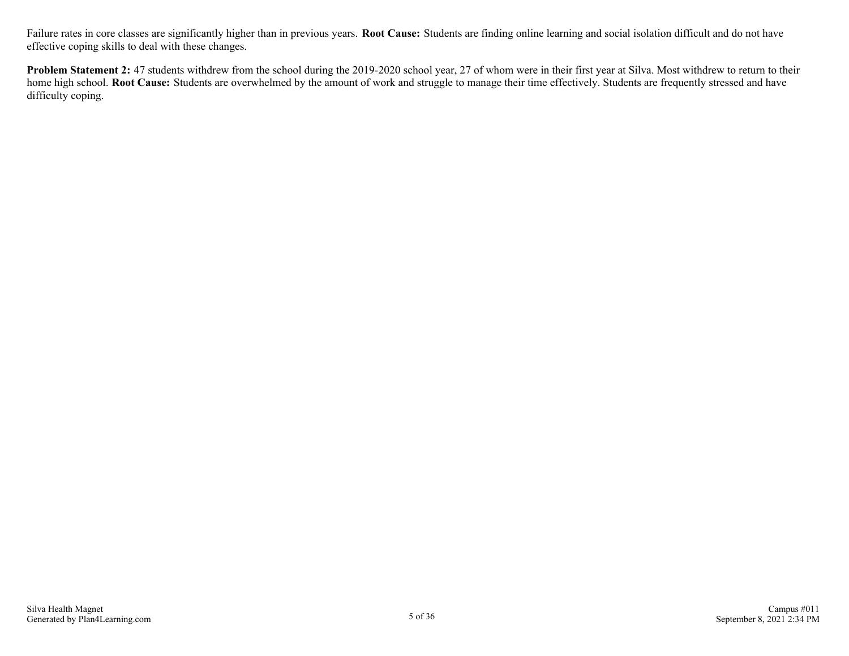Failure rates in core classes are significantly higher than in previous years. **Root Cause:** Students are finding online learning and social isolation difficult and do not have effective coping skills to deal with these changes.

**Problem Statement 2:** 47 students withdrew from the school during the 2019-2020 school year, 27 of whom were in their first year at Silva. Most withdrew to return to their home high school. **Root Cause:** Students are overwhelmed by the amount of work and struggle to manage their time effectively. Students are frequently stressed and have difficulty coping.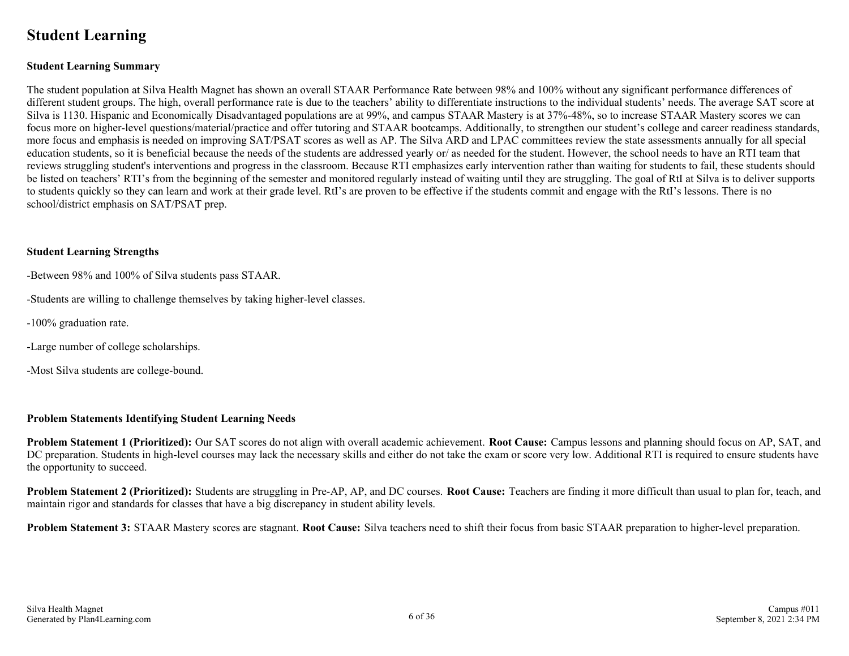### **Student Learning**

#### **Student Learning Summary**

The student population at Silva Health Magnet has shown an overall STAAR Performance Rate between 98% and 100% without any significant performance differences of different student groups. The high, overall performance rate is due to the teachers' ability to differentiate instructions to the individual students' needs. The average SAT score at Silva is 1130. Hispanic and Economically Disadvantaged populations are at 99%, and campus STAAR Mastery is at 37%-48%, so to increase STAAR Mastery scores we can focus more on higher-level questions/material/practice and offer tutoring and STAAR bootcamps. Additionally, to strengthen our student's college and career readiness standards, more focus and emphasis is needed on improving SAT/PSAT scores as well as AP. The Silva ARD and LPAC committees review the state assessments annually for all special education students, so it is beneficial because the needs of the students are addressed yearly or/ as needed for the student. However, the school needs to have an RTI team that reviews struggling student's interventions and progress in the classroom. Because RTI emphasizes early intervention rather than waiting for students to fail, these students should be listed on teachers' RTI's from the beginning of the semester and monitored regularly instead of waiting until they are struggling. The goal of RtI at Silva is to deliver supports to students quickly so they can learn and work at their grade level. RtI's are proven to be effective if the students commit and engage with the RtI's lessons. There is no school/district emphasis on SAT/PSAT prep.

#### **Student Learning Strengths**

-Between 98% and 100% of Silva students pass STAAR.

-Students are willing to challenge themselves by taking higher-level classes.

- -100% graduation rate.
- -Large number of college scholarships.
- -Most Silva students are college-bound.

#### **Problem Statements Identifying Student Learning Needs**

**Problem Statement 1 (Prioritized):** Our SAT scores do not align with overall academic achievement. **Root Cause:** Campus lessons and planning should focus on AP, SAT, and DC preparation. Students in high-level courses may lack the necessary skills and either do not take the exam or score very low. Additional RTI is required to ensure students have the opportunity to succeed.

**Problem Statement 2 (Prioritized):** Students are struggling in Pre-AP, AP, and DC courses. **Root Cause:** Teachers are finding it more difficult than usual to plan for, teach, and maintain rigor and standards for classes that have a big discrepancy in student ability levels.

**Problem Statement 3:** STAAR Mastery scores are stagnant. **Root Cause:** Silva teachers need to shift their focus from basic STAAR preparation to higher-level preparation.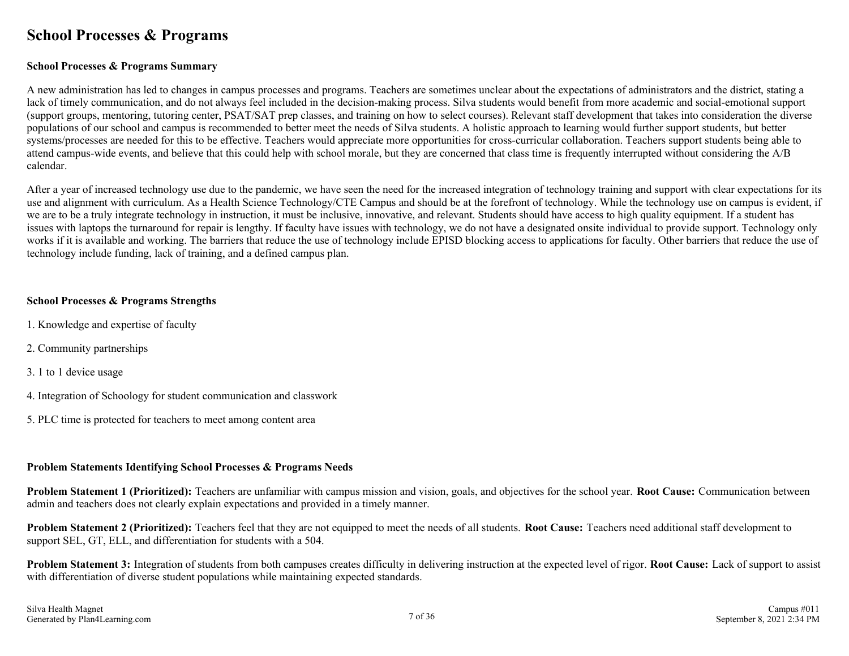### **School Processes & Programs**

#### **School Processes & Programs Summary**

A new administration has led to changes in campus processes and programs. Teachers are sometimes unclear about the expectations of administrators and the district, stating a lack of timely communication, and do not always feel included in the decision-making process. Silva students would benefit from more academic and social-emotional support (support groups, mentoring, tutoring center, PSAT/SAT prep classes, and training on how to select courses). Relevant staff development that takes into consideration the diverse populations of our school and campus is recommended to better meet the needs of Silva students. A holistic approach to learning would further support students, but better systems/processes are needed for this to be effective. Teachers would appreciate more opportunities for cross-curricular collaboration. Teachers support students being able to attend campus-wide events, and believe that this could help with school morale, but they are concerned that class time is frequently interrupted without considering the A/B calendar.

After a year of increased technology use due to the pandemic, we have seen the need for the increased integration of technology training and support with clear expectations for its use and alignment with curriculum. As a Health Science Technology/CTE Campus and should be at the forefront of technology. While the technology use on campus is evident, if we are to be a truly integrate technology in instruction, it must be inclusive, innovative, and relevant. Students should have access to high quality equipment. If a student has issues with laptops the turnaround for repair is lengthy. If faculty have issues with technology, we do not have a designated onsite individual to provide support. Technology only works if it is available and working. The barriers that reduce the use of technology include EPISD blocking access to applications for faculty. Other barriers that reduce the use of technology include funding, lack of training, and a defined campus plan.

#### **School Processes & Programs Strengths**

- 1. Knowledge and expertise of faculty
- 2. Community partnerships
- 3. 1 to 1 device usage
- 4. Integration of Schoology for student communication and classwork
- 5. PLC time is protected for teachers to meet among content area

#### **Problem Statements Identifying School Processes & Programs Needs**

**Problem Statement 1 (Prioritized):** Teachers are unfamiliar with campus mission and vision, goals, and objectives for the school year. **Root Cause:** Communication between admin and teachers does not clearly explain expectations and provided in a timely manner.

**Problem Statement 2 (Prioritized):** Teachers feel that they are not equipped to meet the needs of all students. **Root Cause:** Teachers need additional staff development to support SEL, GT, ELL, and differentiation for students with a 504.

**Problem Statement 3:** Integration of students from both campuses creates difficulty in delivering instruction at the expected level of rigor. **Root Cause:** Lack of support to assist with differentiation of diverse student populations while maintaining expected standards.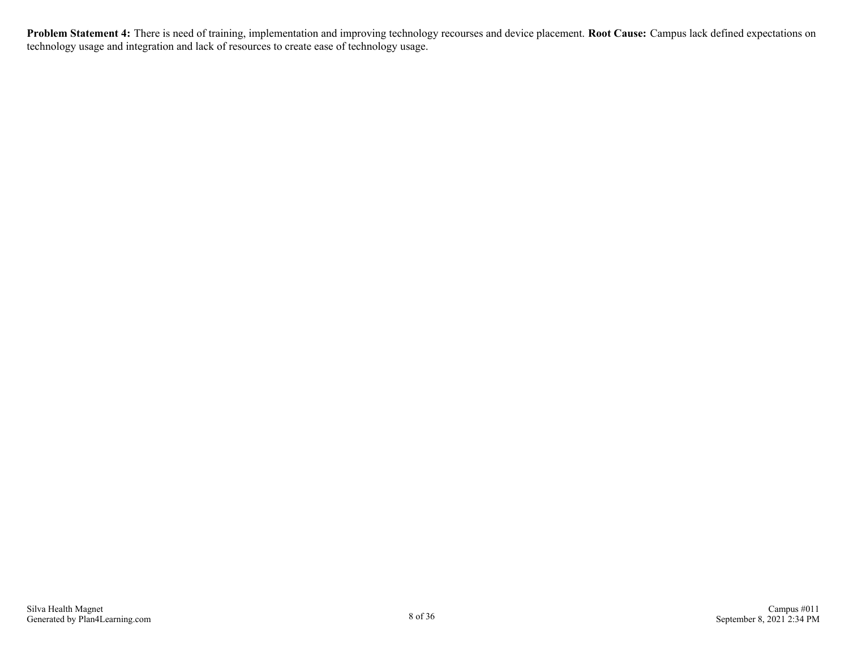**Problem Statement 4:** There is need of training, implementation and improving technology recourses and device placement. **Root Cause:** Campus lack defined expectations on technology usage and integration and lack of resources to create ease of technology usage.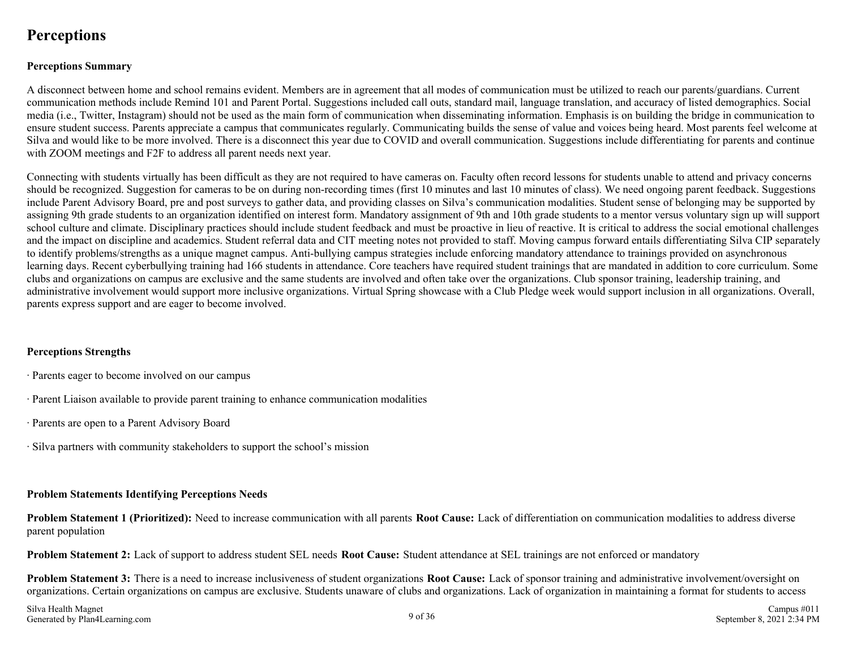### **Perceptions**

#### **Perceptions Summary**

A disconnect between home and school remains evident. Members are in agreement that all modes of communication must be utilized to reach our parents/guardians. Current communication methods include Remind 101 and Parent Portal. Suggestions included call outs, standard mail, language translation, and accuracy of listed demographics. Social media (i.e., Twitter, Instagram) should not be used as the main form of communication when disseminating information. Emphasis is on building the bridge in communication to ensure student success. Parents appreciate a campus that communicates regularly. Communicating builds the sense of value and voices being heard. Most parents feel welcome at Silva and would like to be more involved. There is a disconnect this year due to COVID and overall communication. Suggestions include differentiating for parents and continue with ZOOM meetings and F2F to address all parent needs next year.

Connecting with students virtually has been difficult as they are not required to have cameras on. Faculty often record lessons for students unable to attend and privacy concerns should be recognized. Suggestion for cameras to be on during non-recording times (first 10 minutes and last 10 minutes of class). We need ongoing parent feedback. Suggestions include Parent Advisory Board, pre and post surveys to gather data, and providing classes on Silva's communication modalities. Student sense of belonging may be supported by assigning 9th grade students to an organization identified on interest form. Mandatory assignment of 9th and 10th grade students to a mentor versus voluntary sign up will support school culture and climate. Disciplinary practices should include student feedback and must be proactive in lieu of reactive. It is critical to address the social emotional challenges and the impact on discipline and academics. Student referral data and CIT meeting notes not provided to staff. Moving campus forward entails differentiating Silva CIP separately to identify problems/strengths as a unique magnet campus. Anti-bullying campus strategies include enforcing mandatory attendance to trainings provided on asynchronous learning days. Recent cyberbullying training had 166 students in attendance. Core teachers have required student trainings that are mandated in addition to core curriculum. Some clubs and organizations on campus are exclusive and the same students are involved and often take over the organizations. Club sponsor training, leadership training, and administrative involvement would support more inclusive organizations. Virtual Spring showcase with a Club Pledge week would support inclusion in all organizations. Overall, parents express support and are eager to become involved.

#### **Perceptions Strengths**

- · Parents eager to become involved on our campus
- · Parent Liaison available to provide parent training to enhance communication modalities
- · Parents are open to a Parent Advisory Board
- · Silva partners with community stakeholders to support the school's mission

#### **Problem Statements Identifying Perceptions Needs**

**Problem Statement 1 (Prioritized):** Need to increase communication with all parents **Root Cause:** Lack of differentiation on communication modalities to address diverse parent population

**Problem Statement 2:** Lack of support to address student SEL needs **Root Cause:** Student attendance at SEL trainings are not enforced or mandatory

**Problem Statement 3:** There is a need to increase inclusiveness of student organizations **Root Cause:** Lack of sponsor training and administrative involvement/oversight on organizations. Certain organizations on campus are exclusive. Students unaware of clubs and organizations. Lack of organization in maintaining a format for students to access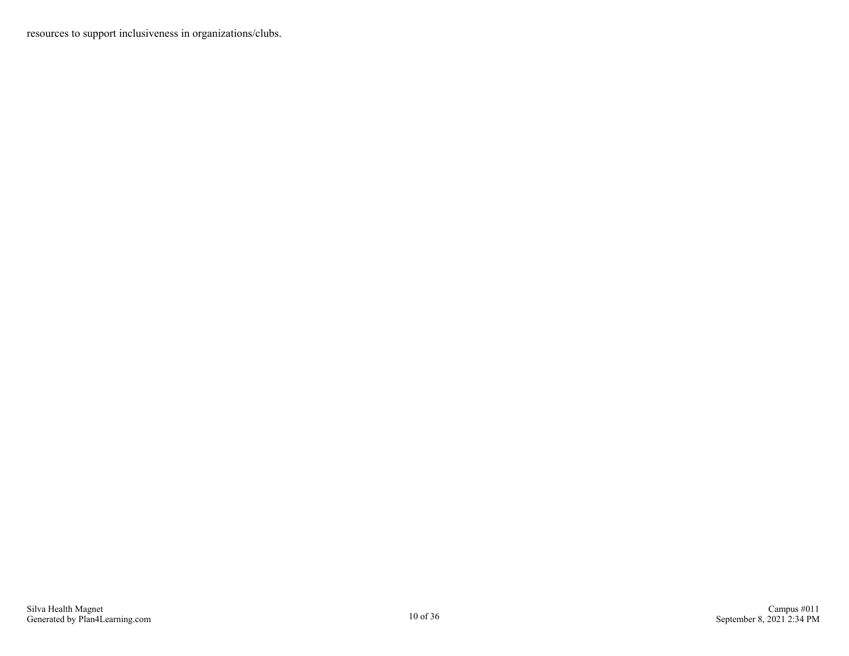resources to support inclusiveness in organizations/clubs.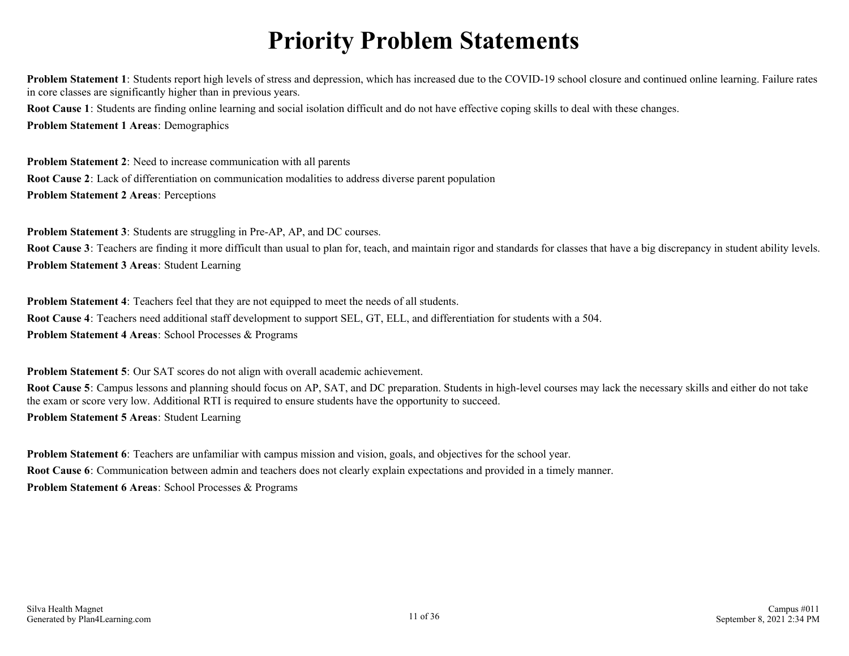# **Priority Problem Statements**

**Problem Statement 1**: Students report high levels of stress and depression, which has increased due to the COVID-19 school closure and continued online learning. Failure rates in core classes are significantly higher than in previous years. **Root Cause 1**: Students are finding online learning and social isolation difficult and do not have effective coping skills to deal with these changes.

**Problem Statement 1 Areas**: Demographics

**Problem Statement 2**: Need to increase communication with all parents **Root Cause 2**: Lack of differentiation on communication modalities to address diverse parent population **Problem Statement 2 Areas**: Perceptions

**Problem Statement 3**: Students are struggling in Pre-AP, AP, and DC courses.

Root Cause 3: Teachers are finding it more difficult than usual to plan for, teach, and maintain rigor and standards for classes that have a big discrepancy in student ability levels. **Problem Statement 3 Areas**: Student Learning

**Problem Statement 4**: Teachers feel that they are not equipped to meet the needs of all students. **Root Cause 4**: Teachers need additional staff development to support SEL, GT, ELL, and differentiation for students with a 504. **Problem Statement 4 Areas**: School Processes & Programs

**Problem Statement 5**: Our SAT scores do not align with overall academic achievement.

**Root Cause 5**: Campus lessons and planning should focus on AP, SAT, and DC preparation. Students in high-level courses may lack the necessary skills and either do not take the exam or score very low. Additional RTI is required to ensure students have the opportunity to succeed.

**Problem Statement 5 Areas**: Student Learning

**Problem Statement 6**: Teachers are unfamiliar with campus mission and vision, goals, and objectives for the school year. **Root Cause 6**: Communication between admin and teachers does not clearly explain expectations and provided in a timely manner. **Problem Statement 6 Areas**: School Processes & Programs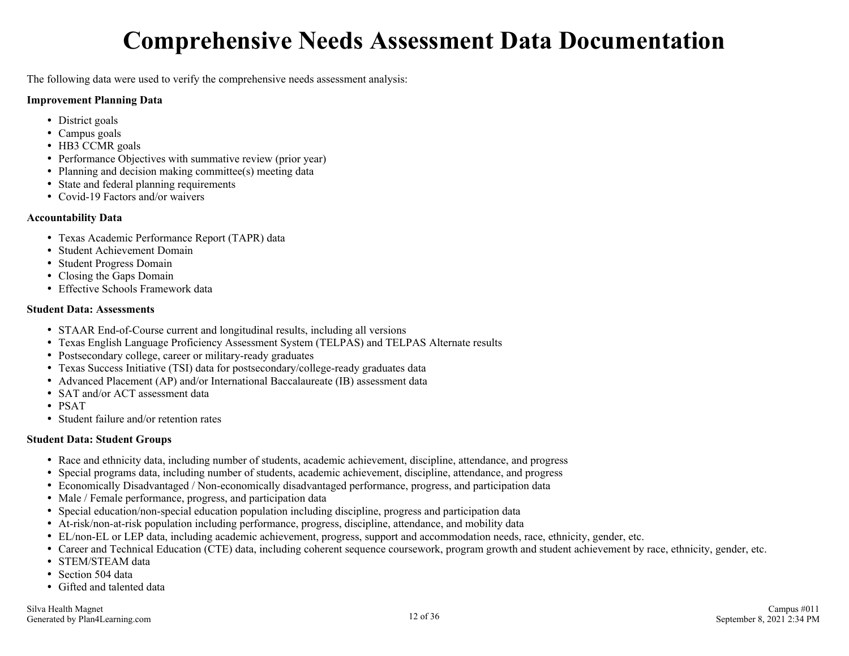# **Comprehensive Needs Assessment Data Documentation**

The following data were used to verify the comprehensive needs assessment analysis:

#### **Improvement Planning Data**

- District goals
- Campus goals
- HB3 CCMR goals
- Performance Objectives with summative review (prior year)
- Planning and decision making committee(s) meeting data
- State and federal planning requirements
- Covid-19 Factors and/or waivers

#### **Accountability Data**

- Texas Academic Performance Report (TAPR) data
- Student Achievement Domain
- Student Progress Domain
- Closing the Gaps Domain
- Effective Schools Framework data

#### **Student Data: Assessments**

- STAAR End-of-Course current and longitudinal results, including all versions
- Texas English Language Proficiency Assessment System (TELPAS) and TELPAS Alternate results
- Postsecondary college, career or military-ready graduates
- Texas Success Initiative (TSI) data for postsecondary/college-ready graduates data
- Advanced Placement (AP) and/or International Baccalaureate (IB) assessment data
- SAT and/or ACT assessment data
- PSAT
- Student failure and/or retention rates

#### **Student Data: Student Groups**

- Race and ethnicity data, including number of students, academic achievement, discipline, attendance, and progress
- Special programs data, including number of students, academic achievement, discipline, attendance, and progress
- Economically Disadvantaged / Non-economically disadvantaged performance, progress, and participation data
- Male / Female performance, progress, and participation data
- Special education/non-special education population including discipline, progress and participation data
- At-risk/non-at-risk population including performance, progress, discipline, attendance, and mobility data
- EL/non-EL or LEP data, including academic achievement, progress, support and accommodation needs, race, ethnicity, gender, etc.
- Career and Technical Education (CTE) data, including coherent sequence coursework, program growth and student achievement by race, ethnicity, gender, etc.
- STEM/STEAM data
- Section 504 data
- Gifted and talented data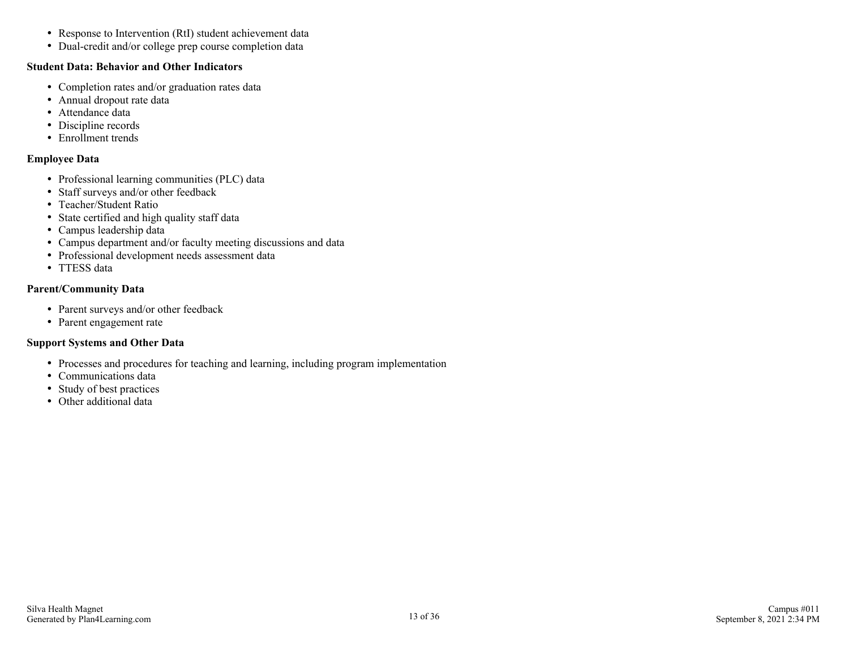- Response to Intervention (RtI) student achievement data
- Dual-credit and/or college prep course completion data

#### **Student Data: Behavior and Other Indicators**

- Completion rates and/or graduation rates data
- Annual dropout rate data
- Attendance data
- Discipline records
- Enrollment trends

#### **Employee Data**

- Professional learning communities (PLC) data
- Staff surveys and/or other feedback
- Teacher/Student Ratio
- State certified and high quality staff data
- Campus leadership data
- Campus department and/or faculty meeting discussions and data
- Professional development needs assessment data
- TTESS data

#### **Parent/Community Data**

- Parent surveys and/or other feedback
- Parent engagement rate

#### **Support Systems and Other Data**

- Processes and procedures for teaching and learning, including program implementation
- Communications data
- Study of best practices
- Other additional data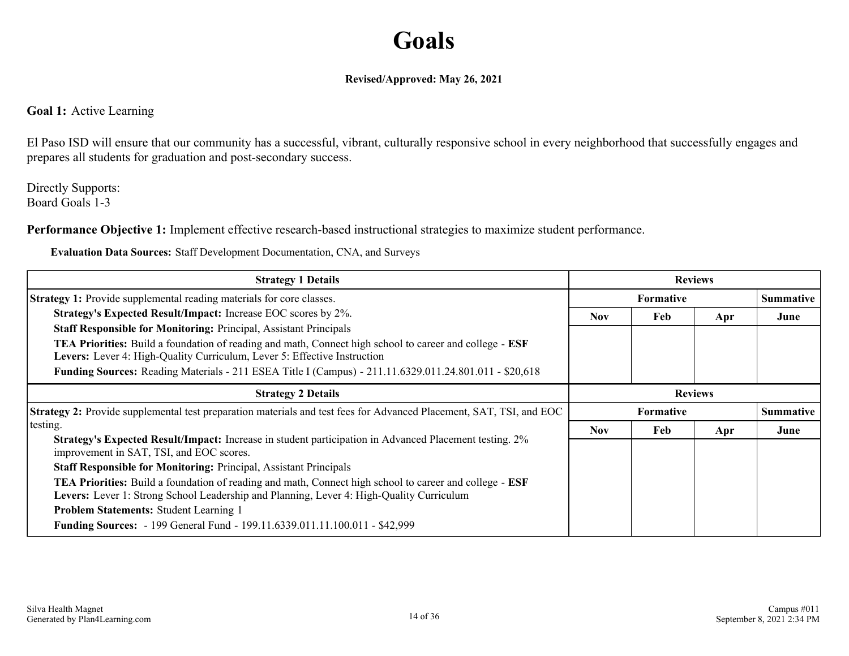## **Goals**

#### **Revised/Approved: May 26, 2021**

#### **Goal 1:** Active Learning

El Paso ISD will ensure that our community has a successful, vibrant, culturally responsive school in every neighborhood that successfully engages and prepares all students for graduation and post-secondary success.

Directly Supports: Board Goals 1-3

**Performance Objective 1:** Implement effective research-based instructional strategies to maximize student performance.

**Evaluation Data Sources:** Staff Development Documentation, CNA, and Surveys

| <b>Strategy 1 Details</b>                                                                                                                                                                                         | <b>Reviews</b>   |     |     |                  |
|-------------------------------------------------------------------------------------------------------------------------------------------------------------------------------------------------------------------|------------------|-----|-----|------------------|
| <b>Strategy 1:</b> Provide supplemental reading materials for core classes.                                                                                                                                       | <b>Formative</b> |     |     | <b>Summative</b> |
| Strategy's Expected Result/Impact: Increase EOC scores by 2%.                                                                                                                                                     | <b>Nov</b>       | Feb | Apr | June             |
| <b>Staff Responsible for Monitoring: Principal, Assistant Principals</b>                                                                                                                                          |                  |     |     |                  |
| TEA Priorities: Build a foundation of reading and math, Connect high school to career and college - ESF<br>Levers: Lever 4: High-Quality Curriculum, Lever 5: Effective Instruction                               |                  |     |     |                  |
| Funding Sources: Reading Materials - 211 ESEA Title I (Campus) - 211.11.6329.011.24.801.011 - \$20,618                                                                                                            |                  |     |     |                  |
| <b>Strategy 2 Details</b>                                                                                                                                                                                         | <b>Reviews</b>   |     |     |                  |
| Strategy 2: Provide supplemental test preparation materials and test fees for Advanced Placement, SAT, TSI, and EOC                                                                                               | <b>Formative</b> |     |     | <b>Summative</b> |
| testing.                                                                                                                                                                                                          | <b>Nov</b>       | Feb | Apr | June             |
| Strategy's Expected Result/Impact: Increase in student participation in Advanced Placement testing. 2%<br>improvement in SAT, TSI, and EOC scores.                                                                |                  |     |     |                  |
| <b>Staff Responsible for Monitoring: Principal, Assistant Principals</b>                                                                                                                                          |                  |     |     |                  |
| <b>TEA Priorities:</b> Build a foundation of reading and math, Connect high school to career and college - <b>ESF</b><br>Levers: Lever 1: Strong School Leadership and Planning, Lever 4: High-Quality Curriculum |                  |     |     |                  |
|                                                                                                                                                                                                                   |                  |     |     |                  |
| <b>Problem Statements: Student Learning 1</b>                                                                                                                                                                     |                  |     |     |                  |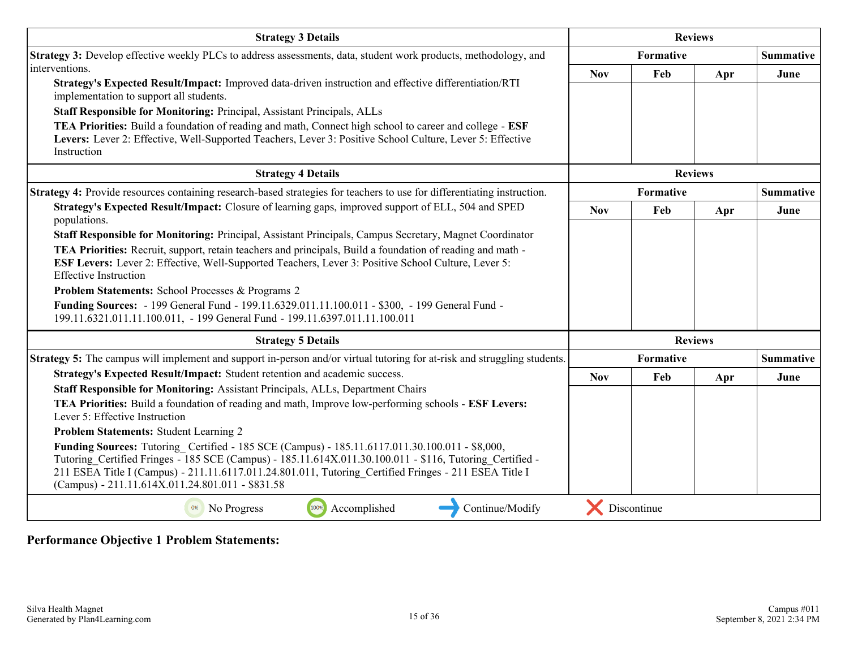| <b>Strategy 3 Details</b>                                                                                                                                                                                                                                                                                                                                                                                                                                                                                                                                                                                            | <b>Reviews</b> |             |                |                  |
|----------------------------------------------------------------------------------------------------------------------------------------------------------------------------------------------------------------------------------------------------------------------------------------------------------------------------------------------------------------------------------------------------------------------------------------------------------------------------------------------------------------------------------------------------------------------------------------------------------------------|----------------|-------------|----------------|------------------|
| Strategy 3: Develop effective weekly PLCs to address assessments, data, student work products, methodology, and                                                                                                                                                                                                                                                                                                                                                                                                                                                                                                      |                | Formative   |                | <b>Summative</b> |
| interventions.<br>Strategy's Expected Result/Impact: Improved data-driven instruction and effective differentiation/RTI                                                                                                                                                                                                                                                                                                                                                                                                                                                                                              | <b>Nov</b>     | Feb         | Apr            | June             |
| implementation to support all students.<br>Staff Responsible for Monitoring: Principal, Assistant Principals, ALLs<br>TEA Priorities: Build a foundation of reading and math, Connect high school to career and college - ESF<br>Levers: Lever 2: Effective, Well-Supported Teachers, Lever 3: Positive School Culture, Lever 5: Effective<br>Instruction                                                                                                                                                                                                                                                            |                |             |                |                  |
| <b>Strategy 4 Details</b>                                                                                                                                                                                                                                                                                                                                                                                                                                                                                                                                                                                            |                |             | <b>Reviews</b> |                  |
| Strategy 4: Provide resources containing research-based strategies for teachers to use for differentiating instruction.                                                                                                                                                                                                                                                                                                                                                                                                                                                                                              |                | Formative   |                | <b>Summative</b> |
| Strategy's Expected Result/Impact: Closure of learning gaps, improved support of ELL, 504 and SPED<br>populations.                                                                                                                                                                                                                                                                                                                                                                                                                                                                                                   | <b>Nov</b>     | Feb         | Apr            | June             |
| Staff Responsible for Monitoring: Principal, Assistant Principals, Campus Secretary, Magnet Coordinator<br><b>TEA Priorities:</b> Recruit, support, retain teachers and principals, Build a foundation of reading and math -<br>ESF Levers: Lever 2: Effective, Well-Supported Teachers, Lever 3: Positive School Culture, Lever 5:<br><b>Effective Instruction</b><br><b>Problem Statements: School Processes &amp; Programs 2</b><br>Funding Sources: - 199 General Fund - 199.11.6329.011.11.100.011 - \$300, - 199 General Fund -<br>199.11.6321.011.11.100.011, - 199 General Fund - 199.11.6397.011.11.100.011 |                |             |                |                  |
| <b>Strategy 5 Details</b>                                                                                                                                                                                                                                                                                                                                                                                                                                                                                                                                                                                            |                |             | <b>Reviews</b> |                  |
| <b>Strategy 5:</b> The campus will implement and support in-person and/or virtual tutoring for at-risk and struggling students.                                                                                                                                                                                                                                                                                                                                                                                                                                                                                      |                | Formative   |                | Summative        |
| Strategy's Expected Result/Impact: Student retention and academic success.<br><b>Staff Responsible for Monitoring: Assistant Principals, ALLs, Department Chairs</b>                                                                                                                                                                                                                                                                                                                                                                                                                                                 | <b>Nov</b>     | Feb         | Apr            | June             |
| TEA Priorities: Build a foundation of reading and math, Improve low-performing schools - ESF Levers:<br>Lever 5: Effective Instruction                                                                                                                                                                                                                                                                                                                                                                                                                                                                               |                |             |                |                  |
| Problem Statements: Student Learning 2                                                                                                                                                                                                                                                                                                                                                                                                                                                                                                                                                                               |                |             |                |                  |
| Funding Sources: Tutoring Certified - 185 SCE (Campus) - 185.11.6117.011.30.100.011 - \$8,000,<br>Tutoring_Certified Fringes - 185 SCE (Campus) - 185.11.614X.011.30.100.011 - \$116, Tutoring Certified -<br>211 ESEA Title I (Campus) - 211.11.6117.011.24.801.011, Tutoring Certified Fringes - 211 ESEA Title I<br>(Campus) - 211.11.614X.011.24.801.011 - \$831.58                                                                                                                                                                                                                                              |                |             |                |                  |
| 100%<br>Accomplished<br>Continue/Modify<br>0%<br>No Progress                                                                                                                                                                                                                                                                                                                                                                                                                                                                                                                                                         |                | Discontinue |                |                  |

**Performance Objective 1 Problem Statements:**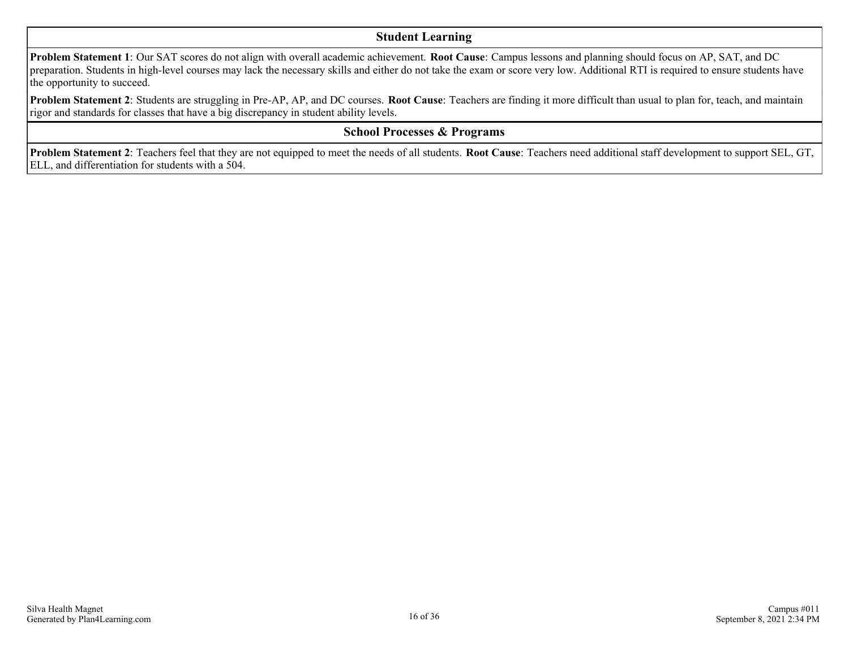#### **Student Learning**

**Problem Statement 1**: Our SAT scores do not align with overall academic achievement. **Root Cause**: Campus lessons and planning should focus on AP, SAT, and DC preparation. Students in high-level courses may lack the necessary skills and either do not take the exam or score very low. Additional RTI is required to ensure students have the opportunity to succeed.

**Problem Statement 2**: Students are struggling in Pre-AP, AP, and DC courses. **Root Cause**: Teachers are finding it more difficult than usual to plan for, teach, and maintain rigor and standards for classes that have a big discrepancy in student ability levels.

#### **School Processes & Programs**

**Problem Statement 2**: Teachers feel that they are not equipped to meet the needs of all students. **Root Cause**: Teachers need additional staff development to support SEL, GT, ELL, and differentiation for students with a 504.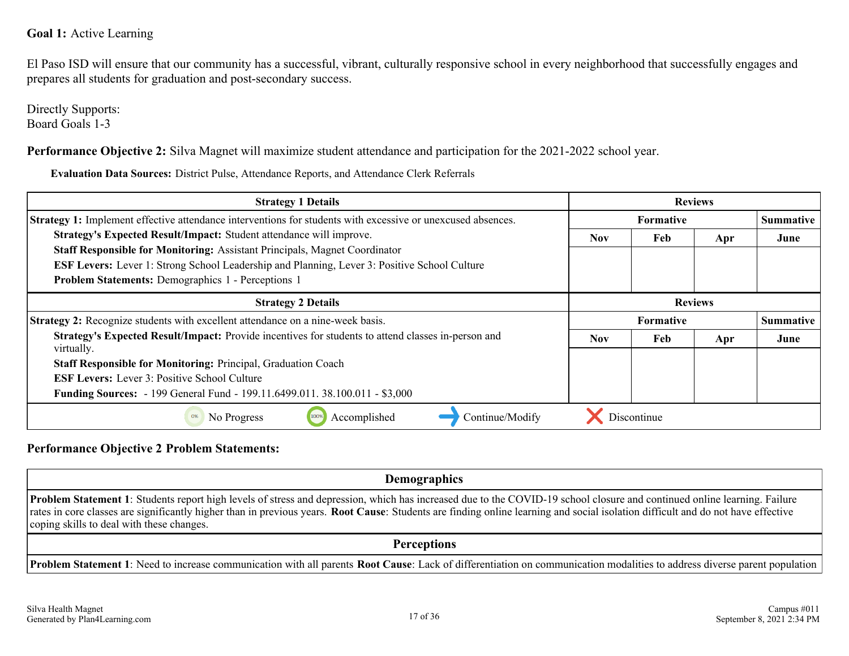#### **Goal 1:** Active Learning

El Paso ISD will ensure that our community has a successful, vibrant, culturally responsive school in every neighborhood that successfully engages and prepares all students for graduation and post-secondary success.

Directly Supports: Board Goals 1-3

**Performance Objective 2:** Silva Magnet will maximize student attendance and participation for the 2021-2022 school year.

**Evaluation Data Sources:** District Pulse, Attendance Reports, and Attendance Clerk Referrals

| <b>Strategy 1 Details</b>                                                                                          | <b>Reviews</b>   |             |                |                  |
|--------------------------------------------------------------------------------------------------------------------|------------------|-------------|----------------|------------------|
| <b>Strategy 1:</b> Implement effective attendance interventions for students with excessive or unexcused absences. | <b>Formative</b> |             |                | <b>Summative</b> |
| Strategy's Expected Result/Impact: Student attendance will improve.                                                | <b>Nov</b>       | Feb         | Apr            | June             |
| <b>Staff Responsible for Monitoring: Assistant Principals, Magnet Coordinator</b>                                  |                  |             |                |                  |
| <b>ESF Levers:</b> Lever 1: Strong School Leadership and Planning, Lever 3: Positive School Culture                |                  |             |                |                  |
| <b>Problem Statements: Demographics 1 - Perceptions 1</b>                                                          |                  |             |                |                  |
| <b>Strategy 2 Details</b>                                                                                          |                  |             | <b>Reviews</b> |                  |
| <b>Strategy 2:</b> Recognize students with excellent attendance on a nine-week basis.                              | <b>Formative</b> |             |                | <b>Summative</b> |
| Strategy's Expected Result/Impact: Provide incentives for students to attend classes in-person and<br>virtually.   | <b>Nov</b>       | Feb         | Apr            | June             |
| Staff Responsible for Monitoring: Principal, Graduation Coach                                                      |                  |             |                |                  |
| <b>ESF Levers:</b> Lever 3: Positive School Culture                                                                |                  |             |                |                  |
| Funding Sources: - 199 General Fund - 199.11.6499.011.38.100.011 - \$3,000                                         |                  |             |                |                  |
| Continue/Modify<br>Accomplished<br>No Progress                                                                     |                  | Discontinue |                |                  |

#### **Performance Objective 2 Problem Statements:**

**Demographics Problem Statement 1**: Students report high levels of stress and depression, which has increased due to the COVID-19 school closure and continued online learning. Failure rates in core classes are significantly higher than in previous years. **Root Cause**: Students are finding online learning and social isolation difficult and do not have effective coping skills to deal with these changes. **Perceptions**

**Problem Statement 1**: Need to increase communication with all parents **Root Cause**: Lack of differentiation on communication modalities to address diverse parent population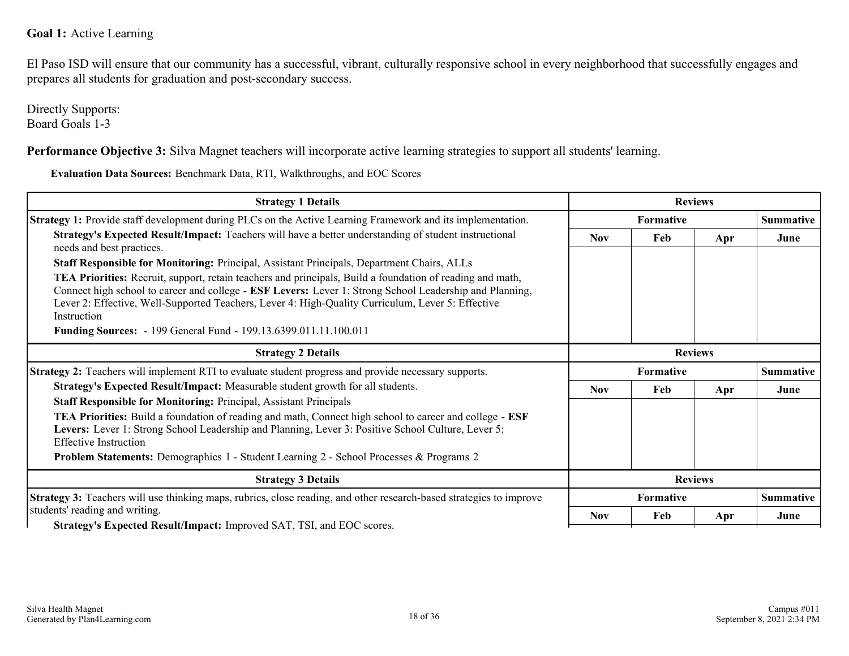#### **Goal 1:** Active Learning

El Paso ISD will ensure that our community has a successful, vibrant, culturally responsive school in every neighborhood that successfully engages and prepares all students for graduation and post-secondary success.

Directly Supports: Board Goals 1-3

**Performance Objective 3:** Silva Magnet teachers will incorporate active learning strategies to support all students' learning.

**Evaluation Data Sources:** Benchmark Data, RTI, Walkthroughs, and EOC Scores

| <b>Strategy 1 Details</b>                                                                                                                                                                                                                                                                                                                              |            | <b>Reviews</b>   |     |                  |  |
|--------------------------------------------------------------------------------------------------------------------------------------------------------------------------------------------------------------------------------------------------------------------------------------------------------------------------------------------------------|------------|------------------|-----|------------------|--|
| <b>Strategy 1:</b> Provide staff development during PLCs on the Active Learning Framework and its implementation.                                                                                                                                                                                                                                      |            | <b>Formative</b> |     | Summative        |  |
| Strategy's Expected Result/Impact: Teachers will have a better understanding of student instructional<br>needs and best practices.                                                                                                                                                                                                                     | <b>Nov</b> | Feb              | Apr | June             |  |
| Staff Responsible for Monitoring: Principal, Assistant Principals, Department Chairs, ALLs                                                                                                                                                                                                                                                             |            |                  |     |                  |  |
| <b>TEA Priorities:</b> Recruit, support, retain teachers and principals, Build a foundation of reading and math,<br>Connect high school to career and college - <b>ESF Levers:</b> Lever 1: Strong School Leadership and Planning,<br>Lever 2: Effective, Well-Supported Teachers, Lever 4: High-Quality Curriculum, Lever 5: Effective<br>Instruction |            |                  |     |                  |  |
| <b>Funding Sources:</b> - 199 General Fund - 199.13.6399.011.11.100.011                                                                                                                                                                                                                                                                                |            |                  |     |                  |  |
| <b>Strategy 2 Details</b>                                                                                                                                                                                                                                                                                                                              |            | <b>Reviews</b>   |     |                  |  |
| <b>Strategy 2:</b> Teachers will implement RTI to evaluate student progress and provide necessary supports.                                                                                                                                                                                                                                            |            | <b>Formative</b> |     | <b>Summative</b> |  |
| Strategy's Expected Result/Impact: Measurable student growth for all students.                                                                                                                                                                                                                                                                         | <b>Nov</b> | Feb              | Apr | June             |  |
| <b>Staff Responsible for Monitoring: Principal, Assistant Principals</b>                                                                                                                                                                                                                                                                               |            |                  |     |                  |  |
| <b>TEA Priorities:</b> Build a foundation of reading and math, Connect high school to career and college - <b>ESF</b><br>Levers: Lever 1: Strong School Leadership and Planning, Lever 3: Positive School Culture, Lever 5:<br><b>Effective Instruction</b>                                                                                            |            |                  |     |                  |  |
| <b>Problem Statements:</b> Demographics 1 - Student Learning 2 - School Processes & Programs 2                                                                                                                                                                                                                                                         |            |                  |     |                  |  |
| <b>Strategy 3 Details</b>                                                                                                                                                                                                                                                                                                                              |            | <b>Reviews</b>   |     |                  |  |
| Strategy 3: Teachers will use thinking maps, rubrics, close reading, and other research-based strategies to improve                                                                                                                                                                                                                                    |            | <b>Formative</b> |     | Summative        |  |
| students' reading and writing.                                                                                                                                                                                                                                                                                                                         | <b>Nov</b> | Feb              | Apr | June             |  |
| <b>Strategy's Expected Result/Impact: Improved SAT TSI and EOC scores</b>                                                                                                                                                                                                                                                                              |            |                  |     |                  |  |

**Strategy's Expected Result/Impact:** Improved SAT, TSI, and EOC scores.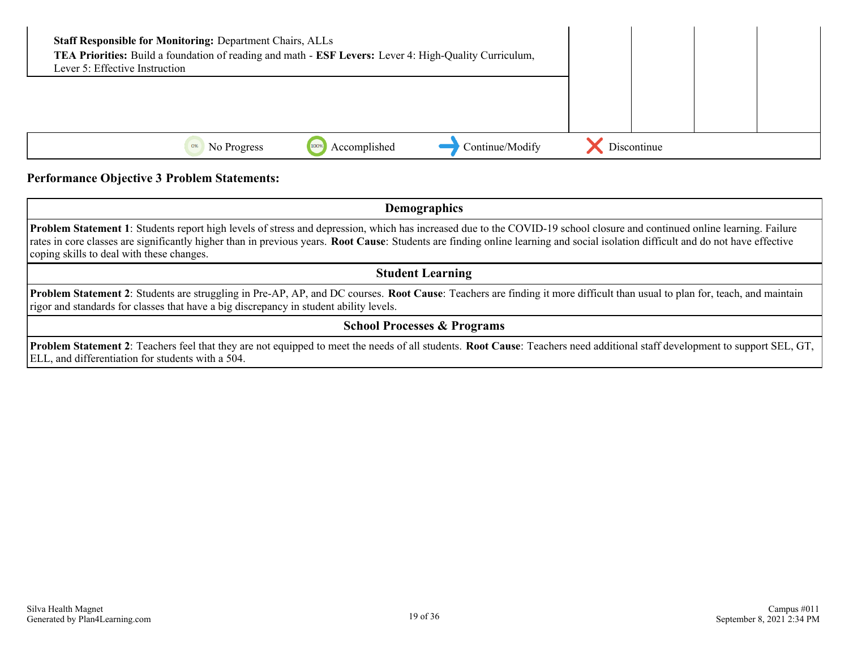| <b>Staff Responsible for Monitoring: Department Chairs, ALLs</b><br>TEA Priorities: Build a foundation of reading and math - ESF Levers: Lever 4: High-Quality Curriculum,<br>Lever 5: Effective Instruction |             |  |
|--------------------------------------------------------------------------------------------------------------------------------------------------------------------------------------------------------------|-------------|--|
|                                                                                                                                                                                                              |             |  |
| Continue/Modify<br>Accomplished<br>1009<br>0%<br>No Progress                                                                                                                                                 | Discontinue |  |

#### **Performance Objective 3 Problem Statements:**

**Demographics**

**Problem Statement 1**: Students report high levels of stress and depression, which has increased due to the COVID-19 school closure and continued online learning. Failure rates in core classes are significantly higher than in previous years. **Root Cause**: Students are finding online learning and social isolation difficult and do not have effective coping skills to deal with these changes.

**Student Learning**

**Problem Statement 2**: Students are struggling in Pre-AP, AP, and DC courses. **Root Cause**: Teachers are finding it more difficult than usual to plan for, teach, and maintain rigor and standards for classes that have a big discrepancy in student ability levels.

#### **School Processes & Programs**

**Problem Statement 2**: Teachers feel that they are not equipped to meet the needs of all students. **Root Cause**: Teachers need additional staff development to support SEL, GT, ELL, and differentiation for students with a 504.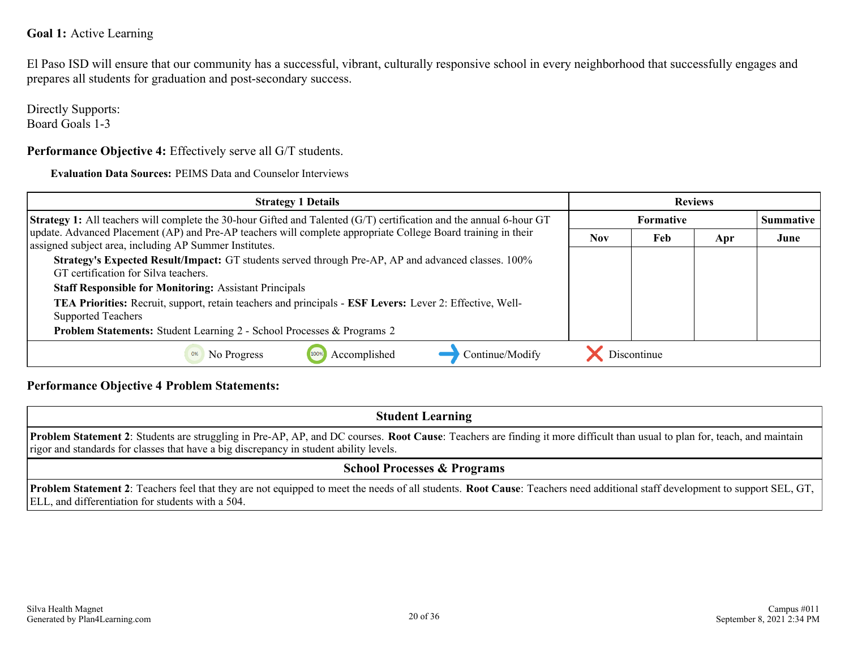#### **Goal 1:** Active Learning

El Paso ISD will ensure that our community has a successful, vibrant, culturally responsive school in every neighborhood that successfully engages and prepares all students for graduation and post-secondary success.

Directly Supports: Board Goals 1-3

**Performance Objective 4:** Effectively serve all G/T students.

**Evaluation Data Sources:** PEIMS Data and Counselor Interviews

| <b>Strategy 1 Details</b>                                                                                                                                               | <b>Reviews</b>   |             |     |                  |
|-------------------------------------------------------------------------------------------------------------------------------------------------------------------------|------------------|-------------|-----|------------------|
| <b>Strategy 1:</b> All teachers will complete the 30-hour Gifted and Talented (G/T) certification and the annual 6-hour GT                                              | <b>Formative</b> |             |     | <b>Summative</b> |
| update. Advanced Placement (AP) and Pre-AP teachers will complete appropriate College Board training in their<br>assigned subject area, including AP Summer Institutes. | <b>Nov</b>       | Feb         | Apr | June             |
| Strategy's Expected Result/Impact: GT students served through Pre-AP, AP and advanced classes. 100%<br>GT certification for Silva teachers.                             |                  |             |     |                  |
| <b>Staff Responsible for Monitoring: Assistant Principals</b>                                                                                                           |                  |             |     |                  |
| TEA Priorities: Recruit, support, retain teachers and principals - ESF Levers: Lever 2: Effective, Well-<br><b>Supported Teachers</b>                                   |                  |             |     |                  |
| Problem Statements: Student Learning 2 - School Processes & Programs 2                                                                                                  |                  |             |     |                  |
| Accomplished<br>Continue/Modify<br>No Progress<br>0%                                                                                                                    |                  | Discontinue |     |                  |

#### **Performance Objective 4 Problem Statements:**

**Student Learning Problem Statement 2**: Students are struggling in Pre-AP, AP, and DC courses. **Root Cause**: Teachers are finding it more difficult than usual to plan for, teach, and maintain rigor and standards for classes that have a big discrepancy in student ability levels. **School Processes & Programs**

**Problem Statement 2**: Teachers feel that they are not equipped to meet the needs of all students. **Root Cause**: Teachers need additional staff development to support SEL, GT, ELL, and differentiation for students with a 504.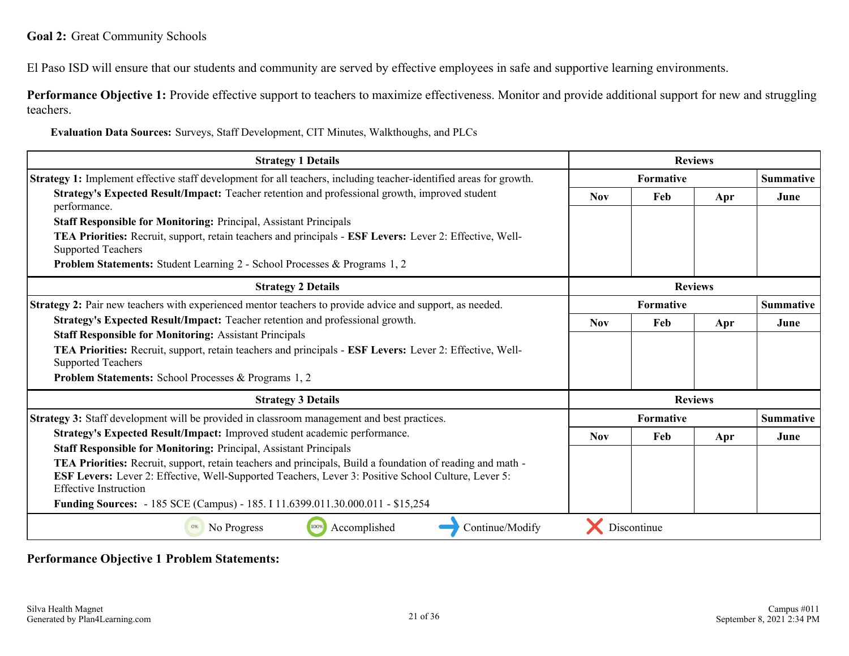El Paso ISD will ensure that our students and community are served by effective employees in safe and supportive learning environments.

**Performance Objective 1:** Provide effective support to teachers to maximize effectiveness. Monitor and provide additional support for new and struggling teachers.

**Evaluation Data Sources:** Surveys, Staff Development, CIT Minutes, Walkthoughs, and PLCs

| <b>Strategy 1 Details</b>                                                                                                                  |                | <b>Reviews</b> |                |                  |
|--------------------------------------------------------------------------------------------------------------------------------------------|----------------|----------------|----------------|------------------|
| Strategy 1: Implement effective staff development for all teachers, including teacher-identified areas for growth.                         |                | Formative      |                |                  |
| Strategy's Expected Result/Impact: Teacher retention and professional growth, improved student<br>performance.                             | <b>Nov</b>     | Feb            | Apr            | June             |
| <b>Staff Responsible for Monitoring: Principal, Assistant Principals</b>                                                                   |                |                |                |                  |
| TEA Priorities: Recruit, support, retain teachers and principals - ESF Levers: Lever 2: Effective, Well-<br><b>Supported Teachers</b>      |                |                |                |                  |
| <b>Problem Statements:</b> Student Learning 2 - School Processes & Programs 1, 2                                                           |                |                |                |                  |
| <b>Strategy 2 Details</b>                                                                                                                  | <b>Reviews</b> |                |                |                  |
| Strategy 2: Pair new teachers with experienced mentor teachers to provide advice and support, as needed.                                   | Formative      |                |                | <b>Summative</b> |
| Strategy's Expected Result/Impact: Teacher retention and professional growth.                                                              | <b>Nov</b>     | Feb            | Apr            | June             |
| <b>Staff Responsible for Monitoring: Assistant Principals</b>                                                                              |                |                |                |                  |
| TEA Priorities: Recruit, support, retain teachers and principals - ESF Levers: Lever 2: Effective, Well-<br><b>Supported Teachers</b>      |                |                |                |                  |
| <b>Problem Statements:</b> School Processes & Programs 1, 2                                                                                |                |                |                |                  |
| <b>Strategy 3 Details</b>                                                                                                                  |                |                | <b>Reviews</b> |                  |
| Strategy 3: Staff development will be provided in classroom management and best practices.                                                 |                | Formative      |                | <b>Summative</b> |
| Strategy's Expected Result/Impact: Improved student academic performance.                                                                  | <b>Nov</b>     | Feb            | Apr            | June             |
| <b>Staff Responsible for Monitoring: Principal, Assistant Principals</b>                                                                   |                |                |                |                  |
| <b>TEA Priorities:</b> Recruit, support, retain teachers and principals, Build a foundation of reading and math -                          |                |                |                |                  |
| <b>ESF Levers:</b> Lever 2: Effective, Well-Supported Teachers, Lever 3: Positive School Culture, Lever 5:<br><b>Effective Instruction</b> |                |                |                |                  |
| Funding Sources: - 185 SCE (Campus) - 185. I 11.6399.011.30.000.011 - \$15,254                                                             |                |                |                |                  |
| Accomplished<br>Continue/Modify<br>No Progress<br>100%                                                                                     |                | Discontinue    |                |                  |

**Performance Objective 1 Problem Statements:**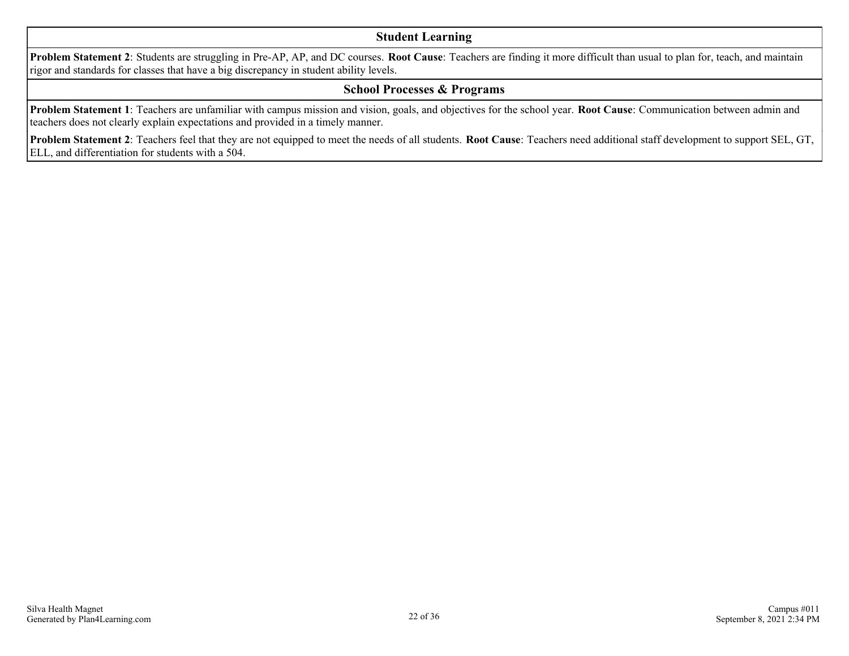#### **Student Learning**

**Problem Statement 2**: Students are struggling in Pre-AP, AP, and DC courses. **Root Cause**: Teachers are finding it more difficult than usual to plan for, teach, and maintain rigor and standards for classes that have a big discrepancy in student ability levels.

#### **School Processes & Programs**

**Problem Statement 1**: Teachers are unfamiliar with campus mission and vision, goals, and objectives for the school year. **Root Cause**: Communication between admin and teachers does not clearly explain expectations and provided in a timely manner.

**Problem Statement 2**: Teachers feel that they are not equipped to meet the needs of all students. **Root Cause**: Teachers need additional staff development to support SEL, GT, ELL, and differentiation for students with a 504.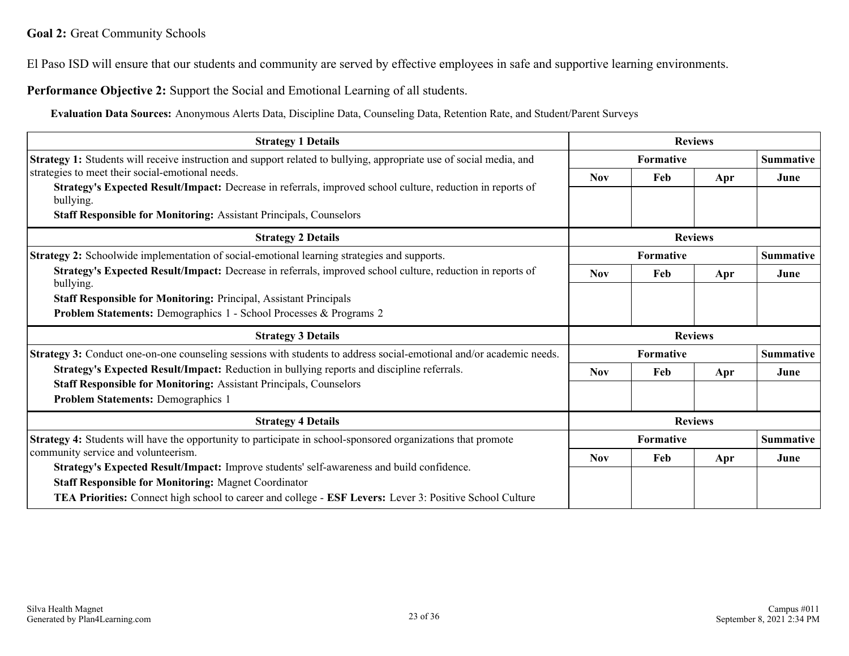El Paso ISD will ensure that our students and community are served by effective employees in safe and supportive learning environments.

**Performance Objective 2:** Support the Social and Emotional Learning of all students.

**Evaluation Data Sources:** Anonymous Alerts Data, Discipline Data, Counseling Data, Retention Rate, and Student/Parent Surveys

| <b>Strategy 1 Details</b>                                                                                               |                  | <b>Reviews</b> |                  |                  |
|-------------------------------------------------------------------------------------------------------------------------|------------------|----------------|------------------|------------------|
| Strategy 1: Students will receive instruction and support related to bullying, appropriate use of social media, and     |                  | Formative      |                  | <b>Summative</b> |
| strategies to meet their social-emotional needs.                                                                        | <b>Nov</b>       | Feb            | Apr              | June             |
| Strategy's Expected Result/Impact: Decrease in referrals, improved school culture, reduction in reports of<br>bullying. |                  |                |                  |                  |
| <b>Staff Responsible for Monitoring: Assistant Principals, Counselors</b>                                               |                  |                |                  |                  |
| <b>Strategy 2 Details</b>                                                                                               |                  | <b>Reviews</b> |                  |                  |
| <b>Strategy 2:</b> Schoolwide implementation of social-emotional learning strategies and supports.                      | Formative        |                |                  | <b>Summative</b> |
| Strategy's Expected Result/Impact: Decrease in referrals, improved school culture, reduction in reports of<br>bullying. | <b>Nov</b>       | Feb            | Apr              | June             |
| <b>Staff Responsible for Monitoring: Principal, Assistant Principals</b>                                                |                  |                |                  |                  |
| Problem Statements: Demographics 1 - School Processes & Programs 2                                                      |                  |                |                  |                  |
| <b>Strategy 3 Details</b>                                                                                               | <b>Reviews</b>   |                |                  |                  |
| Strategy 3: Conduct one-on-one counseling sessions with students to address social-emotional and/or academic needs.     | <b>Formative</b> |                | <b>Summative</b> |                  |
| Strategy's Expected Result/Impact: Reduction in bullying reports and discipline referrals.                              | <b>Nov</b>       | Feb            | Apr              | June             |
| <b>Staff Responsible for Monitoring: Assistant Principals, Counselors</b>                                               |                  |                |                  |                  |
| <b>Problem Statements: Demographics 1</b>                                                                               |                  |                |                  |                  |
| <b>Strategy 4 Details</b>                                                                                               |                  | <b>Reviews</b> |                  |                  |
| <b>Strategy 4:</b> Students will have the opportunity to participate in school-sponsored organizations that promote     |                  | Formative      |                  | <b>Summative</b> |
| community service and volunteerism.                                                                                     | <b>Nov</b>       | Feb            | Apr              | June             |
| Strategy's Expected Result/Impact: Improve students' self-awareness and build confidence.                               |                  |                |                  |                  |
| <b>Staff Responsible for Monitoring: Magnet Coordinator</b>                                                             |                  |                |                  |                  |
| TEA Priorities: Connect high school to career and college - ESF Levers: Lever 3: Positive School Culture                |                  |                |                  |                  |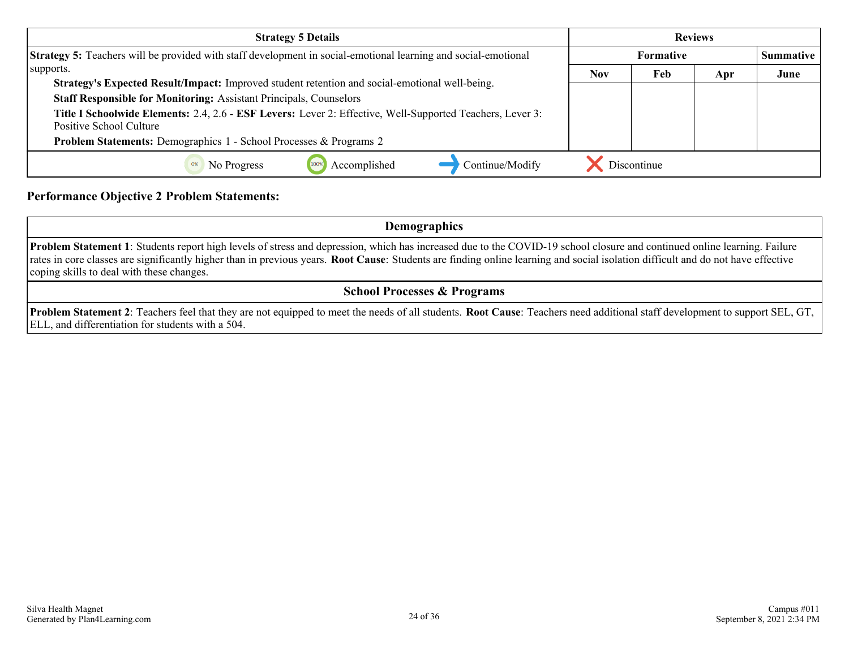| <b>Strategy 5 Details</b>                                                                                                            | <b>Reviews</b>   |             |     |                  |
|--------------------------------------------------------------------------------------------------------------------------------------|------------------|-------------|-----|------------------|
| Strategy 5: Teachers will be provided with staff development in social-emotional learning and social-emotional                       | <b>Formative</b> |             |     | <b>Summative</b> |
| supports.                                                                                                                            | <b>Nov</b>       | Feb         | Apr | June             |
| Strategy's Expected Result/Impact: Improved student retention and social-emotional well-being.                                       |                  |             |     |                  |
| <b>Staff Responsible for Monitoring: Assistant Principals, Counselors</b>                                                            |                  |             |     |                  |
| Title I Schoolwide Elements: 2.4, 2.6 - ESF Levers: Lever 2: Effective, Well-Supported Teachers, Lever 3:<br>Positive School Culture |                  |             |     |                  |
| Problem Statements: Demographics 1 - School Processes & Programs 2                                                                   |                  |             |     |                  |
| Accomplished<br>Continue/Modify<br>No Progress                                                                                       |                  | Discontinue |     |                  |

#### **Performance Objective 2 Problem Statements:**

**Demographics**

**Problem Statement 1**: Students report high levels of stress and depression, which has increased due to the COVID-19 school closure and continued online learning. Failure rates in core classes are significantly higher than in previous years. **Root Cause**: Students are finding online learning and social isolation difficult and do not have effective coping skills to deal with these changes.

#### **School Processes & Programs**

**Problem Statement 2**: Teachers feel that they are not equipped to meet the needs of all students. **Root Cause**: Teachers need additional staff development to support SEL, GT, ELL, and differentiation for students with a 504.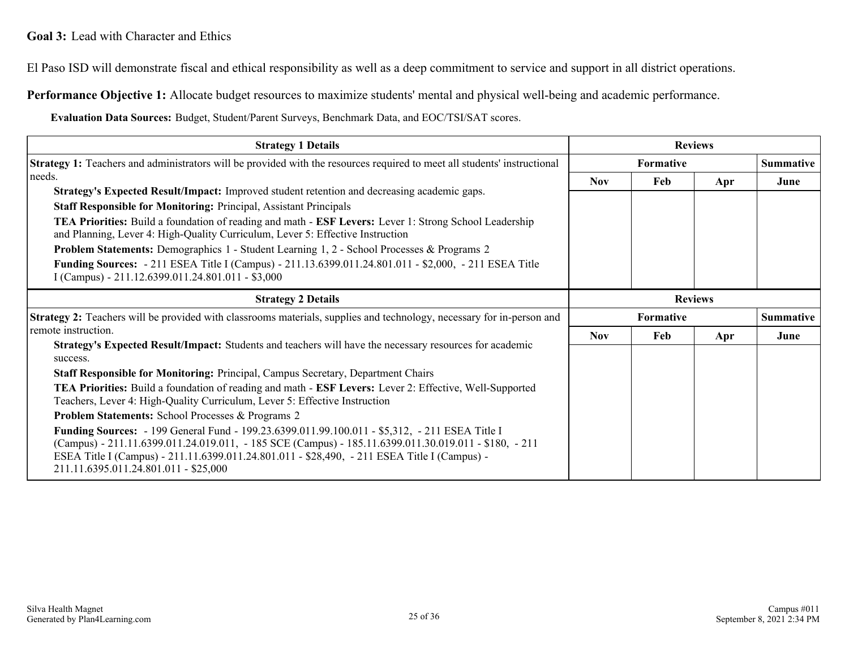El Paso ISD will demonstrate fiscal and ethical responsibility as well as a deep commitment to service and support in all district operations.

**Performance Objective 1:** Allocate budget resources to maximize students' mental and physical well-being and academic performance.

**Evaluation Data Sources:** Budget, Student/Parent Surveys, Benchmark Data, and EOC/TSI/SAT scores.

| <b>Strategy 1 Details</b>                                                                                                                                                                                                                                                                                                                                                                                                                                                                                                                                                                                                                                      |                | <b>Reviews</b> |     |                  |
|----------------------------------------------------------------------------------------------------------------------------------------------------------------------------------------------------------------------------------------------------------------------------------------------------------------------------------------------------------------------------------------------------------------------------------------------------------------------------------------------------------------------------------------------------------------------------------------------------------------------------------------------------------------|----------------|----------------|-----|------------------|
| <b>Strategy 1:</b> Teachers and administrators will be provided with the resources required to meet all students' instructional                                                                                                                                                                                                                                                                                                                                                                                                                                                                                                                                |                | Formative      |     |                  |
| needs.<br>Strategy's Expected Result/Impact: Improved student retention and decreasing academic gaps.<br><b>Staff Responsible for Monitoring: Principal, Assistant Principals</b><br><b>TEA Priorities:</b> Build a foundation of reading and math - <b>ESF Levers:</b> Lever 1: Strong School Leadership<br>and Planning, Lever 4: High-Quality Curriculum, Lever 5: Effective Instruction<br><b>Problem Statements:</b> Demographics 1 - Student Learning 1, 2 - School Processes & Programs 2<br>Funding Sources: - 211 ESEA Title I (Campus) - 211.13.6399.011.24.801.011 - \$2,000, - 211 ESEA Title<br>I (Campus) - 211.12.6399.011.24.801.011 - \$3,000 | <b>Nov</b>     | Feb            | Apr | June             |
| <b>Strategy 2 Details</b>                                                                                                                                                                                                                                                                                                                                                                                                                                                                                                                                                                                                                                      | <b>Reviews</b> |                |     |                  |
| <b>Strategy 2:</b> Teachers will be provided with classrooms materials, supplies and technology, necessary for in-person and                                                                                                                                                                                                                                                                                                                                                                                                                                                                                                                                   |                | Formative      |     | <b>Summative</b> |
| remote instruction.<br>Strategy's Expected Result/Impact: Students and teachers will have the necessary resources for academic<br>success.                                                                                                                                                                                                                                                                                                                                                                                                                                                                                                                     | <b>Nov</b>     | Feb            | Apr | June             |
| Staff Responsible for Monitoring: Principal, Campus Secretary, Department Chairs                                                                                                                                                                                                                                                                                                                                                                                                                                                                                                                                                                               |                |                |     |                  |
| <b>TEA Priorities:</b> Build a foundation of reading and math - <b>ESF Levers:</b> Lever 2: Effective, Well-Supported<br>Teachers, Lever 4: High-Quality Curriculum, Lever 5: Effective Instruction                                                                                                                                                                                                                                                                                                                                                                                                                                                            |                |                |     |                  |
| <b>Problem Statements: School Processes &amp; Programs 2</b>                                                                                                                                                                                                                                                                                                                                                                                                                                                                                                                                                                                                   |                |                |     |                  |
| <b>Funding Sources:</b> - 199 General Fund - 199.23.6399.011.99.100.011 - \$5,312, - 211 ESEA Title I<br>(Campus) - 211.11.6399.011.24.019.011, - 185 SCE (Campus) - 185.11.6399.011.30.019.011 - \$180, - 211<br>ESEA Title I (Campus) - 211.11.6399.011.24.801.011 - \$28,490, - 211 ESEA Title I (Campus) -<br>211.11.6395.011.24.801.011 - \$25,000                                                                                                                                                                                                                                                                                                        |                |                |     |                  |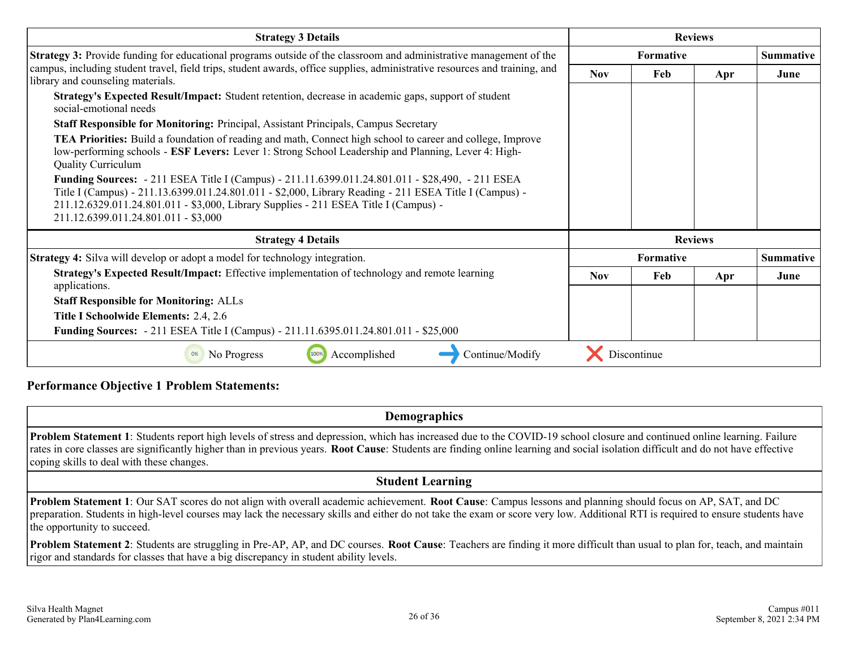| <b>Strategy 3 Details</b>                                                                                                                                                                                                                                                                                                                  | <b>Reviews</b> |                  |                |                  |
|--------------------------------------------------------------------------------------------------------------------------------------------------------------------------------------------------------------------------------------------------------------------------------------------------------------------------------------------|----------------|------------------|----------------|------------------|
| <b>Strategy 3:</b> Provide funding for educational programs outside of the classroom and administrative management of the                                                                                                                                                                                                                  |                | <b>Formative</b> |                | <b>Summative</b> |
| campus, including student travel, field trips, student awards, office supplies, administrative resources and training, and<br>library and counseling materials.                                                                                                                                                                            | <b>Nov</b>     | Feb              | Apr            | June             |
| Strategy's Expected Result/Impact: Student retention, decrease in academic gaps, support of student<br>social-emotional needs                                                                                                                                                                                                              |                |                  |                |                  |
| <b>Staff Responsible for Monitoring: Principal, Assistant Principals, Campus Secretary</b>                                                                                                                                                                                                                                                 |                |                  |                |                  |
| <b>TEA Priorities:</b> Build a foundation of reading and math, Connect high school to career and college, Improve<br>low-performing schools - ESF Levers: Lever 1: Strong School Leadership and Planning, Lever 4: High-<br><b>Quality Curriculum</b>                                                                                      |                |                  |                |                  |
| Funding Sources: - 211 ESEA Title I (Campus) - 211.11.6399.011.24.801.011 - \$28,490, - 211 ESEA<br>Title I (Campus) - 211.13.6399.011.24.801.011 - \$2,000, Library Reading - 211 ESEA Title I (Campus) -<br>211.12.6329.011.24.801.011 - \$3,000, Library Supplies - 211 ESEA Title I (Campus) -<br>211.12.6399.011.24.801.011 - \$3,000 |                |                  |                |                  |
| <b>Strategy 4 Details</b>                                                                                                                                                                                                                                                                                                                  |                |                  | <b>Reviews</b> |                  |
| <b>Strategy 4:</b> Silva will develop or adopt a model for technology integration.                                                                                                                                                                                                                                                         |                | Formative        |                | <b>Summative</b> |
| Strategy's Expected Result/Impact: Effective implementation of technology and remote learning<br>applications.                                                                                                                                                                                                                             | <b>Nov</b>     | Feb              | Apr            | June             |
| <b>Staff Responsible for Monitoring: ALLs</b>                                                                                                                                                                                                                                                                                              |                |                  |                |                  |
| Title I Schoolwide Elements: 2.4, 2.6                                                                                                                                                                                                                                                                                                      |                |                  |                |                  |
| <b>Funding Sources:</b> - 211 ESEA Title I (Campus) - 211.11.6395.011.24.801.011 - \$25,000                                                                                                                                                                                                                                                |                |                  |                |                  |
| Accomplished<br>Continue/Modify<br>No Progress<br>100%                                                                                                                                                                                                                                                                                     |                | Discontinue      |                |                  |

#### **Performance Objective 1 Problem Statements:**

**Demographics**

**Problem Statement 1**: Students report high levels of stress and depression, which has increased due to the COVID-19 school closure and continued online learning. Failure rates in core classes are significantly higher than in previous years. **Root Cause**: Students are finding online learning and social isolation difficult and do not have effective coping skills to deal with these changes.

#### **Student Learning**

**Problem Statement 1**: Our SAT scores do not align with overall academic achievement. **Root Cause**: Campus lessons and planning should focus on AP, SAT, and DC preparation. Students in high-level courses may lack the necessary skills and either do not take the exam or score very low. Additional RTI is required to ensure students have the opportunity to succeed.

**Problem Statement 2**: Students are struggling in Pre-AP, AP, and DC courses. **Root Cause**: Teachers are finding it more difficult than usual to plan for, teach, and maintain rigor and standards for classes that have a big discrepancy in student ability levels.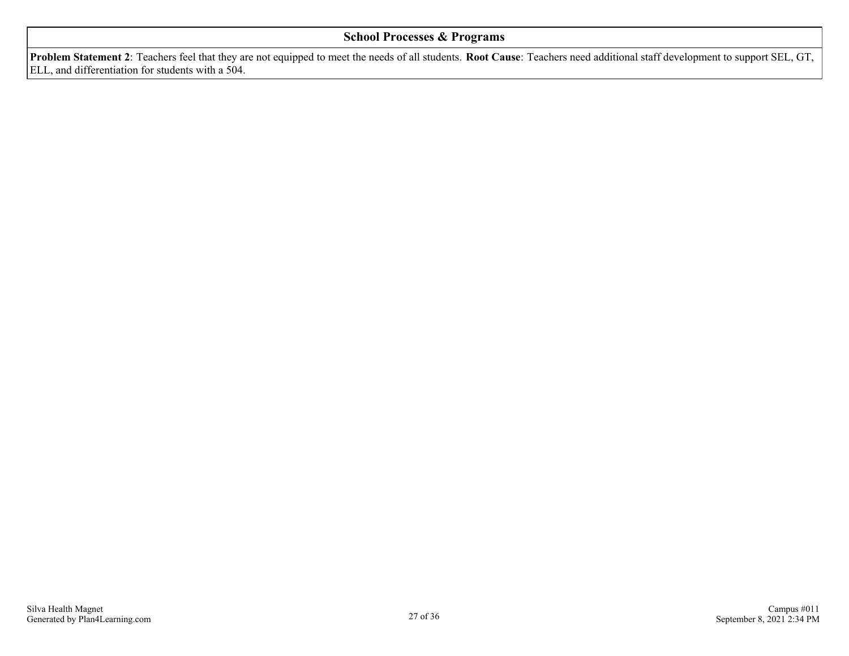#### **School Processes & Programs**

**Problem Statement 2**: Teachers feel that they are not equipped to meet the needs of all students. **Root Cause**: Teachers need additional staff development to support SEL, GT, ELL, and differentiation for students with a 504.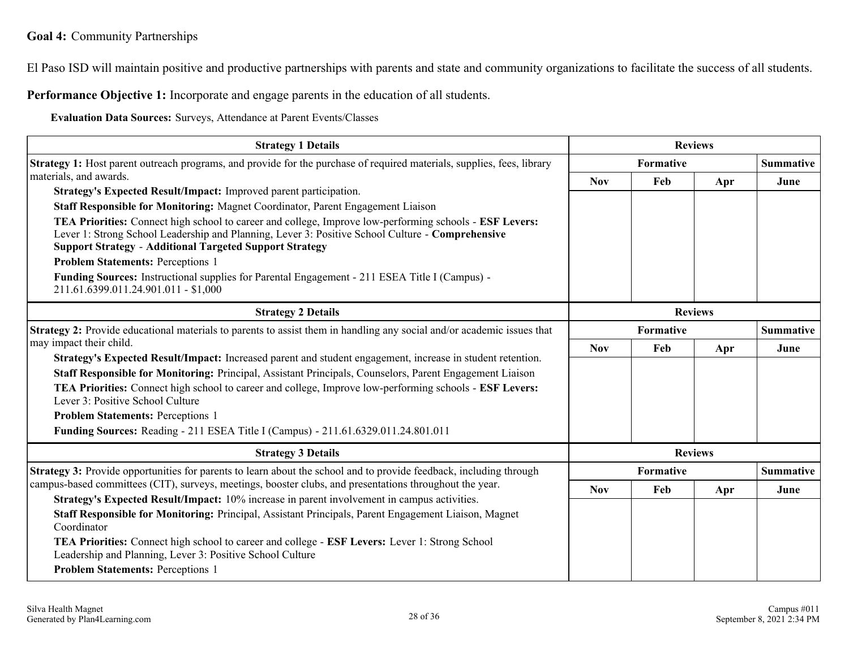El Paso ISD will maintain positive and productive partnerships with parents and state and community organizations to facilitate the success of all students.

**Performance Objective 1:** Incorporate and engage parents in the education of all students.

**Evaluation Data Sources:** Surveys, Attendance at Parent Events/Classes

| <b>Strategy 1 Details</b>                                                                                                                                                                                                                                                                   |                                      |                  | <b>Reviews</b> |      |
|---------------------------------------------------------------------------------------------------------------------------------------------------------------------------------------------------------------------------------------------------------------------------------------------|--------------------------------------|------------------|----------------|------|
| <b>Strategy 1:</b> Host parent outreach programs, and provide for the purchase of required materials, supplies, fees, library                                                                                                                                                               |                                      | <b>Summative</b> |                |      |
| materials, and awards.                                                                                                                                                                                                                                                                      | <b>Nov</b>                           | Feb              | Apr            | June |
| Strategy's Expected Result/Impact: Improved parent participation.                                                                                                                                                                                                                           |                                      |                  |                |      |
| Staff Responsible for Monitoring: Magnet Coordinator, Parent Engagement Liaison                                                                                                                                                                                                             |                                      |                  |                |      |
| <b>TEA Priorities:</b> Connect high school to career and college, Improve low-performing schools - <b>ESF Levers:</b><br>Lever 1: Strong School Leadership and Planning, Lever 3: Positive School Culture - Comprehensive<br><b>Support Strategy - Additional Targeted Support Strategy</b> |                                      |                  |                |      |
| <b>Problem Statements: Perceptions 1</b>                                                                                                                                                                                                                                                    |                                      |                  |                |      |
| <b>Funding Sources:</b> Instructional supplies for Parental Engagement - 211 ESEA Title I (Campus) -<br>211.61.6399.011.24.901.011 - \$1,000                                                                                                                                                |                                      |                  |                |      |
| <b>Strategy 2 Details</b>                                                                                                                                                                                                                                                                   |                                      |                  | <b>Reviews</b> |      |
| Strategy 2: Provide educational materials to parents to assist them in handling any social and/or academic issues that                                                                                                                                                                      | <b>Formative</b><br><b>Summative</b> |                  |                |      |
| may impact their child.                                                                                                                                                                                                                                                                     | <b>Nov</b>                           | Feb              | Apr            | June |
| Strategy's Expected Result/Impact: Increased parent and student engagement, increase in student retention.                                                                                                                                                                                  |                                      |                  |                |      |
| Staff Responsible for Monitoring: Principal, Assistant Principals, Counselors, Parent Engagement Liaison                                                                                                                                                                                    |                                      |                  |                |      |
| TEA Priorities: Connect high school to career and college, Improve low-performing schools - ESF Levers:<br>Lever 3: Positive School Culture                                                                                                                                                 |                                      |                  |                |      |
| <b>Problem Statements: Perceptions 1</b>                                                                                                                                                                                                                                                    |                                      |                  |                |      |
| Funding Sources: Reading - 211 ESEA Title I (Campus) - 211.61.6329.011.24.801.011                                                                                                                                                                                                           |                                      |                  |                |      |
| <b>Strategy 3 Details</b>                                                                                                                                                                                                                                                                   | <b>Reviews</b>                       |                  |                |      |
| <b>Strategy 3:</b> Provide opportunities for parents to learn about the school and to provide feedback, including through                                                                                                                                                                   | <b>Summative</b><br>Formative        |                  |                |      |
| campus-based committees (CIT), surveys, meetings, booster clubs, and presentations throughout the year.                                                                                                                                                                                     | <b>Nov</b>                           | Feb              | Apr            | June |
| Strategy's Expected Result/Impact: 10% increase in parent involvement in campus activities.                                                                                                                                                                                                 |                                      |                  |                |      |
| Staff Responsible for Monitoring: Principal, Assistant Principals, Parent Engagement Liaison, Magnet<br>Coordinator                                                                                                                                                                         |                                      |                  |                |      |
| TEA Priorities: Connect high school to career and college - ESF Levers: Lever 1: Strong School<br>Leadership and Planning, Lever 3: Positive School Culture                                                                                                                                 |                                      |                  |                |      |
| <b>Problem Statements: Perceptions 1</b>                                                                                                                                                                                                                                                    |                                      |                  |                |      |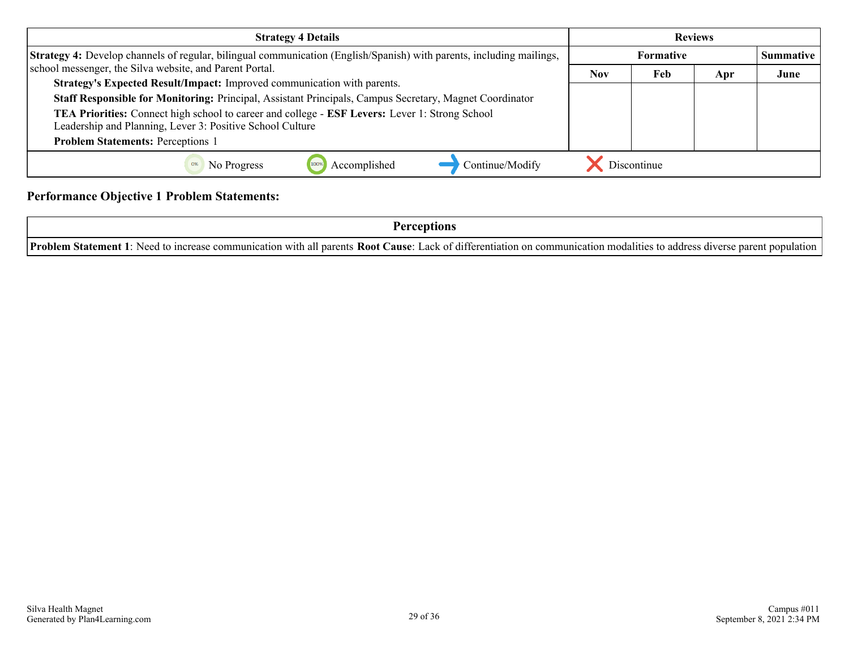| <b>Strategy 4 Details</b>                                                                                                                                   | <b>Reviews</b> |                  |     |      |  |
|-------------------------------------------------------------------------------------------------------------------------------------------------------------|----------------|------------------|-----|------|--|
| Strategy 4: Develop channels of regular, bilingual communication (English/Spanish) with parents, including mailings,                                        |                | <b>Summative</b> |     |      |  |
| school messenger, the Silva website, and Parent Portal.                                                                                                     | <b>Nov</b>     | Feb              | Apr | June |  |
| Strategy's Expected Result/Impact: Improved communication with parents.                                                                                     |                |                  |     |      |  |
| Staff Responsible for Monitoring: Principal, Assistant Principals, Campus Secretary, Magnet Coordinator                                                     |                |                  |     |      |  |
| TEA Priorities: Connect high school to career and college - ESF Levers: Lever 1: Strong School<br>Leadership and Planning, Lever 3: Positive School Culture |                |                  |     |      |  |
| <b>Problem Statements: Perceptions 1</b>                                                                                                                    |                |                  |     |      |  |
| Accomplished<br>Continue/Modify<br>No Progress                                                                                                              |                | Discontinue      |     |      |  |

#### **Performance Objective 1 Problem Statements:**

| Problem<br><b>: Root Cause:</b><br>. Lack $0^+$<br>communication with<br>all parents.<br>Need<br>i communication modalities.<br>Statement<br>increase<br>) address diverse parent<br>terentiation<br>population<br>- On<br>' TO- |
|----------------------------------------------------------------------------------------------------------------------------------------------------------------------------------------------------------------------------------|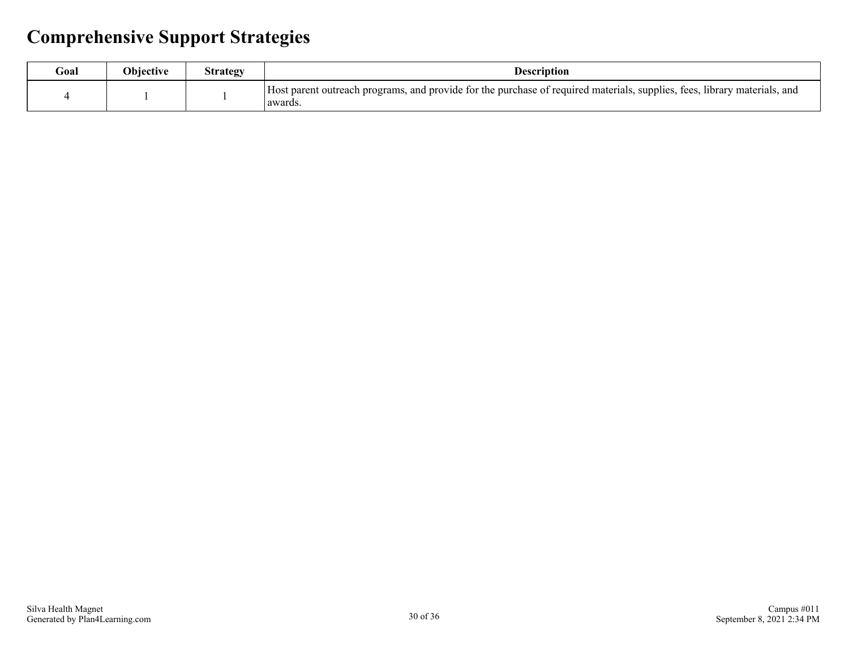## **Comprehensive Support Strategies**

| Goal | <b>Objective</b> | strategy | Description                                                                                                                                 |
|------|------------------|----------|---------------------------------------------------------------------------------------------------------------------------------------------|
|      |                  |          | Host parent outreach programs, and provide for the purchase of required materials, supplies, fees, b<br>. library materials, and<br>awards. |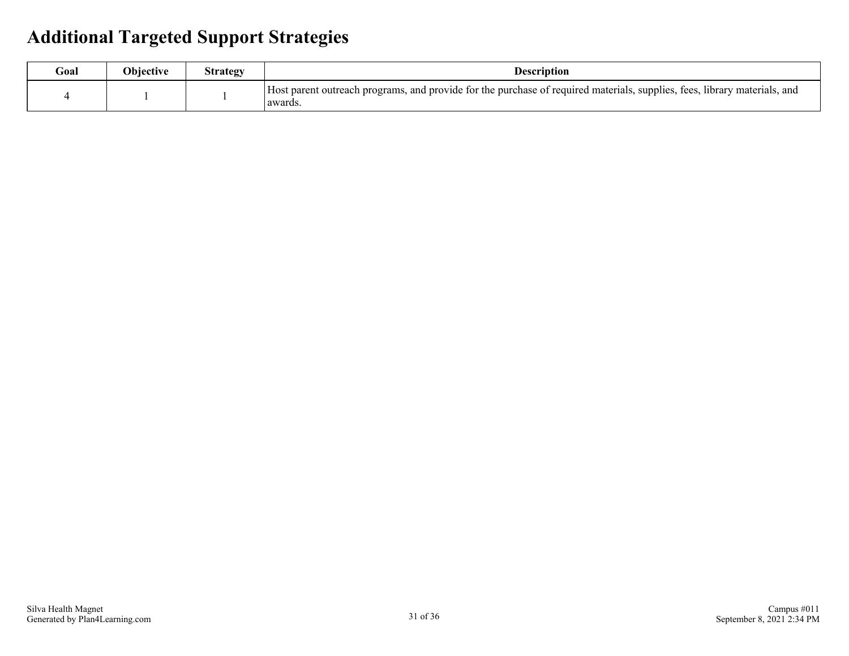### **Additional Targeted Support Strategies**

| Goal | <b>Objective</b> | strategy | <b>Description</b>                                                                                                                   |
|------|------------------|----------|--------------------------------------------------------------------------------------------------------------------------------------|
|      |                  |          | Host parent outreach programs, and provide for the purchase of required materials, supplies, fees, library materials, and<br>awards. |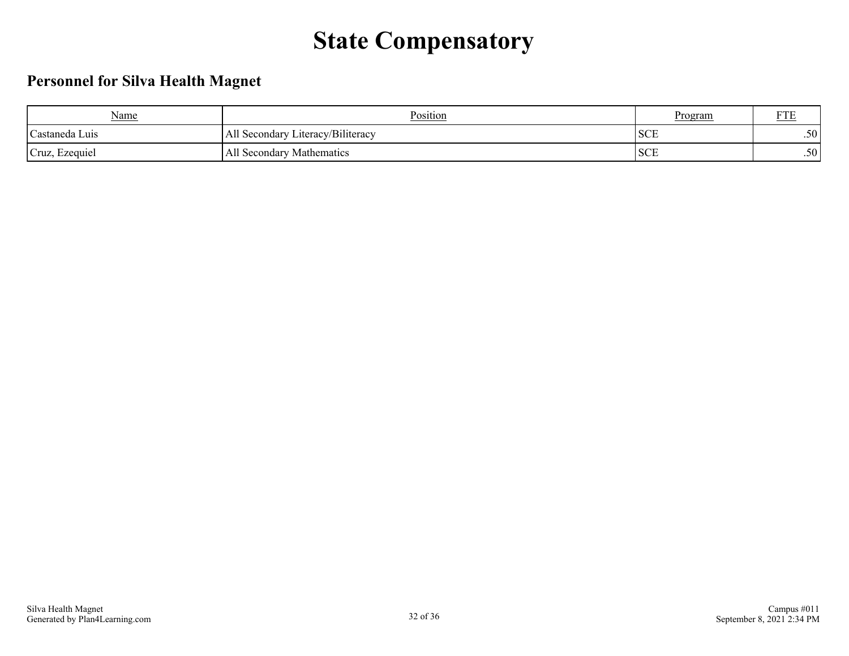# **State Compensatory**

### **Personnel for Silva Health Magnet**

| Name                        | Position                                    | <u>Program</u> | <b>DOD</b><br>r i E |
|-----------------------------|---------------------------------------------|----------------|---------------------|
| <sup>1</sup> Castaneda Luis | Literacy/Biliteracy<br><b>All Secondary</b> | <b>SCE</b>     | .50                 |
| Cruz, Ezequiel              | All Secondary Mathematics                   | <b>SCE</b>     | .50                 |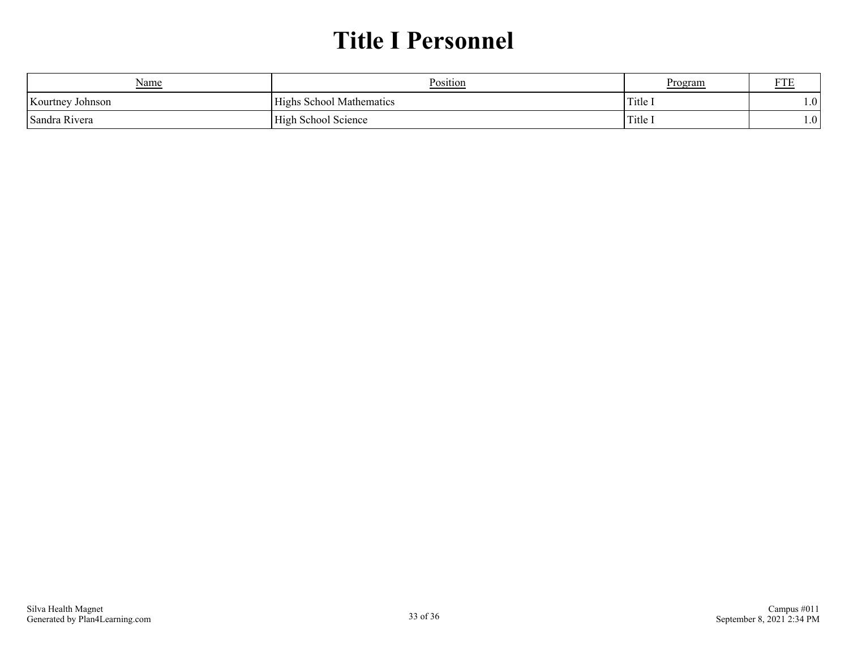# **Title I Personnel**

| Name                       | Position                       | <u>Program</u> | <b>170</b> |  |
|----------------------------|--------------------------------|----------------|------------|--|
| Kourtney Johnson           | s School Mathematics<br>H1ghs' | Title.         | 1.0        |  |
| <sup>1</sup> Sandra Rivera | High School Science            | Title 1        | 1.0        |  |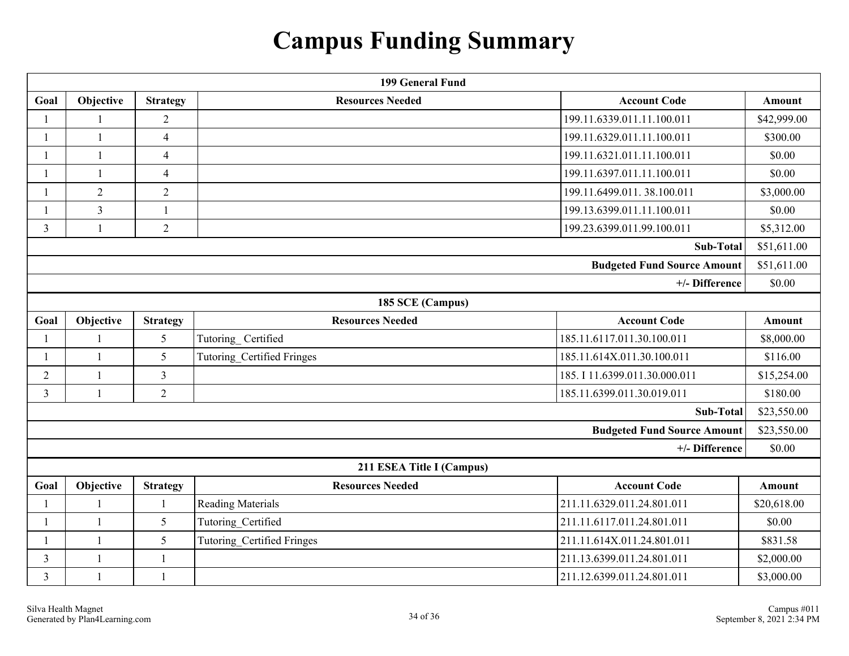# **Campus Funding Summary**

| 199 General Fund |                |                 |                                   |                                    |               |  |  |
|------------------|----------------|-----------------|-----------------------------------|------------------------------------|---------------|--|--|
| Goal             | Objective      | <b>Strategy</b> | <b>Resources Needed</b>           | <b>Account Code</b>                | <b>Amount</b> |  |  |
|                  |                | $\overline{2}$  |                                   | 199.11.6339.011.11.100.011         | \$42,999.00   |  |  |
|                  |                | $\overline{4}$  |                                   | 199.11.6329.011.11.100.011         | \$300.00      |  |  |
| 1                | 1              | 4               |                                   | 199.11.6321.011.11.100.011         | \$0.00        |  |  |
| 1                |                | $\overline{4}$  |                                   | 199.11.6397.011.11.100.011         | \$0.00        |  |  |
| 1                | $\overline{2}$ | $\overline{2}$  |                                   | 199.11.6499.011.38.100.011         | \$3,000.00    |  |  |
| 1                | 3              | $\mathbf{1}$    |                                   | 199.13.6399.011.11.100.011         | \$0.00        |  |  |
| $\overline{3}$   |                | $\overline{2}$  |                                   | 199.23.6399.011.99.100.011         | \$5,312.00    |  |  |
|                  |                |                 |                                   | <b>Sub-Total</b>                   | \$51,611.00   |  |  |
|                  |                |                 |                                   | <b>Budgeted Fund Source Amount</b> | \$51,611.00   |  |  |
|                  |                |                 |                                   | +/- Difference                     | \$0.00        |  |  |
|                  |                |                 | 185 SCE (Campus)                  |                                    |               |  |  |
| Goal             | Objective      | <b>Strategy</b> | <b>Resources Needed</b>           | <b>Account Code</b>                | <b>Amount</b> |  |  |
|                  |                | 5               | Tutoring_Certified                | 185.11.6117.011.30.100.011         | \$8,000.00    |  |  |
| 1                | $\mathbf{1}$   | 5               | <b>Tutoring Certified Fringes</b> | 185.11.614X.011.30.100.011         | \$116.00      |  |  |
| $\overline{2}$   | $\mathbf{1}$   | 3               |                                   | 185. I 11.6399.011.30.000.011      | \$15,254.00   |  |  |
| 3                | $\mathbf{1}$   | $\overline{2}$  |                                   | 185.11.6399.011.30.019.011         | \$180.00      |  |  |
|                  |                |                 |                                   | Sub-Total                          | \$23,550.00   |  |  |
|                  |                |                 |                                   | <b>Budgeted Fund Source Amount</b> | \$23,550.00   |  |  |
|                  |                |                 |                                   | +/- Difference                     | \$0.00        |  |  |
|                  |                |                 | 211 ESEA Title I (Campus)         |                                    |               |  |  |
| Goal             | Objective      | <b>Strategy</b> | <b>Resources Needed</b>           | <b>Account Code</b>                | Amount        |  |  |
|                  |                |                 | <b>Reading Materials</b>          | 211.11.6329.011.24.801.011         | \$20,618.00   |  |  |
| 1                | $\mathbf{1}$   | 5               | Tutoring Certified                | 211.11.6117.011.24.801.011         | \$0.00        |  |  |
| 1                | $\mathbf{1}$   | 5               | Tutoring_Certified Fringes        | 211.11.614X.011.24.801.011         | \$831.58      |  |  |
| 3                |                | 1               |                                   | 211.13.6399.011.24.801.011         | \$2,000.00    |  |  |
| 3                | $\mathbf{1}$   | 1               |                                   | 211.12.6399.011.24.801.011         | \$3,000.00    |  |  |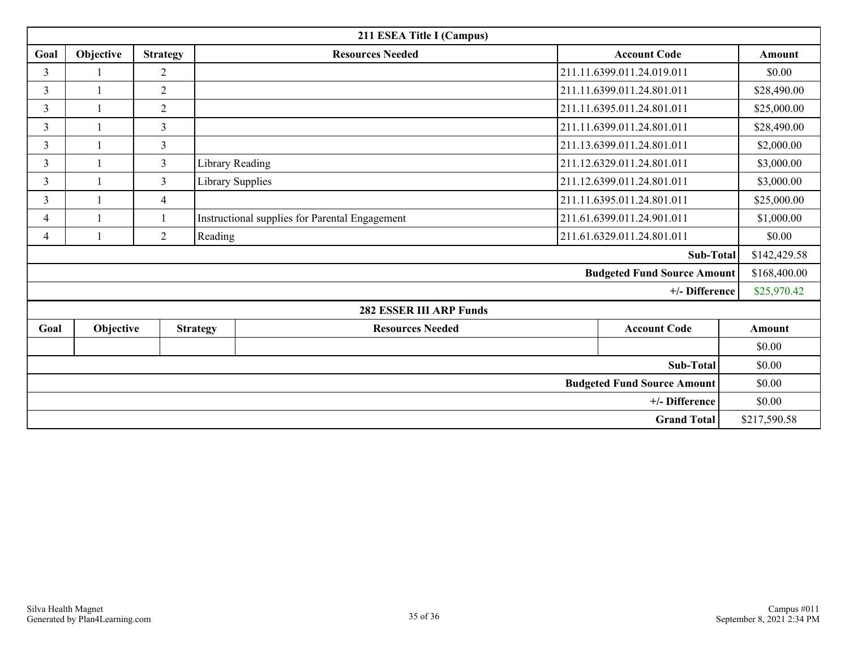| 211 ESEA Title I (Campus)          |           |                 |                        |                                                |                            |                                    |             |               |  |
|------------------------------------|-----------|-----------------|------------------------|------------------------------------------------|----------------------------|------------------------------------|-------------|---------------|--|
| Goal                               | Objective | <b>Strategy</b> |                        | <b>Resources Needed</b>                        | <b>Account Code</b>        |                                    |             | Amount        |  |
| 3                                  |           | $\overline{2}$  |                        |                                                | 211.11.6399.011.24.019.011 |                                    | \$0.00      |               |  |
| $\mathfrak{Z}$                     |           | $\overline{2}$  |                        |                                                |                            | 211.11.6399.011.24.801.011         |             | \$28,490.00   |  |
| $\mathfrak{Z}$                     |           | $\overline{2}$  |                        |                                                |                            | 211.11.6395.011.24.801.011         |             | \$25,000.00   |  |
| 3                                  |           | 3               |                        |                                                |                            | 211.11.6399.011.24.801.011         |             | \$28,490.00   |  |
| 3                                  |           | 3               |                        |                                                |                            | 211.13.6399.011.24.801.011         |             | \$2,000.00    |  |
| 3                                  |           | $\overline{3}$  | <b>Library Reading</b> |                                                |                            | 211.12.6329.011.24.801.011         |             | \$3,000.00    |  |
| 3                                  |           | 3               | Library Supplies       |                                                | 211.12.6399.011.24.801.011 |                                    |             |               |  |
| 3                                  |           | $\overline{4}$  |                        |                                                | 211.11.6395.011.24.801.011 |                                    | \$25,000.00 |               |  |
| $\overline{4}$                     |           |                 |                        | Instructional supplies for Parental Engagement | 211.61.6399.011.24.901.011 |                                    |             |               |  |
| $\overline{4}$                     |           | $\overline{2}$  | Reading                |                                                | 211.61.6329.011.24.801.011 |                                    |             |               |  |
| Sub-Total                          |           |                 |                        |                                                |                            |                                    |             | \$142,429.58  |  |
|                                    |           |                 |                        |                                                |                            | <b>Budgeted Fund Source Amount</b> |             | \$168,400.00  |  |
|                                    |           |                 |                        |                                                |                            | +/- Difference                     |             | \$25,970.42   |  |
|                                    |           |                 |                        | <b>282 ESSER III ARP Funds</b>                 |                            |                                    |             |               |  |
| Goal                               | Objective |                 | <b>Strategy</b>        | <b>Resources Needed</b>                        |                            | <b>Account Code</b>                |             | <b>Amount</b> |  |
|                                    |           |                 |                        |                                                |                            |                                    |             | \$0.00        |  |
| <b>Sub-Total</b>                   |           |                 |                        |                                                |                            |                                    | \$0.00      |               |  |
| <b>Budgeted Fund Source Amount</b> |           |                 |                        |                                                |                            |                                    | \$0.00      |               |  |
|                                    |           |                 |                        |                                                |                            | +/- Difference                     |             | \$0.00        |  |
| <b>Grand Total</b>                 |           |                 |                        |                                                |                            |                                    |             | \$217,590.58  |  |